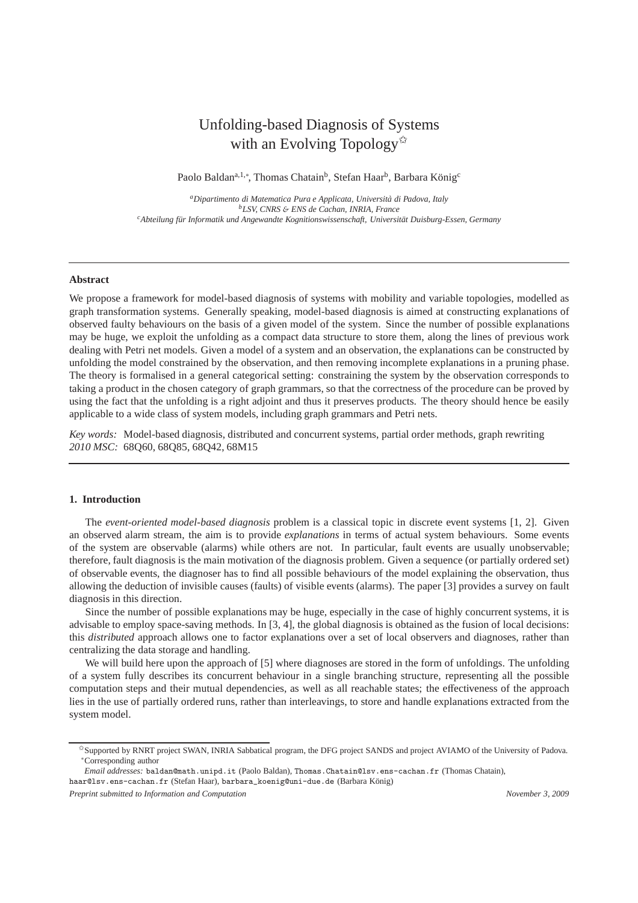# Unfolding-based Diagnosis of Systems with an Evolving Topology $\mathbb{R}$

Paolo Baldan<sup>a,1,∗</sup>, Thomas Chatain<sup>b</sup>, Stefan Haar<sup>b</sup>, Barbara König<sup>c</sup>

*<sup>a</sup>Dipartimento di Matematica Pura e Applicata, Universit`a di Padova, Italy <sup>b</sup>LSV, CNRS* & *ENS de Cachan, INRIA, France* <sup>c</sup>Abteilung für Informatik und Angewandte Kognitionswissenschaft, Universität Duisburg-Essen, Germany

## **Abstract**

We propose a framework for model-based diagnosis of systems with mobility and variable topologies, modelled as graph transformation systems. Generally speaking, model-based diagnosis is aimed at constructing explanations of observed faulty behaviours on the basis of a given model of the system. Since the number of possible explanations may be huge, we exploit the unfolding as a compact data structure to store them, along the lines of previous work dealing with Petri net models. Given a model of a system and an observation, the explanations can be constructed by unfolding the model constrained by the observation, and then removing incomplete explanations in a pruning phase. The theory is formalised in a general categorical setting: constraining the system by the observation corresponds to taking a product in the chosen category of graph grammars, so that the correctness of the procedure can be proved by using the fact that the unfolding is a right adjoint and thus it preserves products. The theory should hence be easily applicable to a wide class of system models, including graph grammars and Petri nets.

*Key words:* Model-based diagnosis, distributed and concurrent systems, partial order methods, graph rewriting *2010 MSC:* 68Q60, 68Q85, 68Q42, 68M15

# **1. Introduction**

The *event-oriented model-based diagnosis* problem is a classical topic in discrete event systems [1, 2]. Given an observed alarm stream, the aim is to provide *explanations* in terms of actual system behaviours. Some events of the system are observable (alarms) while others are not. In particular, fault events are usually unobservable; therefore, fault diagnosis is the main motivation of the diagnosis problem. Given a sequence (or partially ordered set) of observable events, the diagnoser has to find all possible behaviours of the model explaining the observation, thus allowing the deduction of invisible causes (faults) of visible events (alarms). The paper [3] provides a survey on fault diagnosis in this direction.

Since the number of possible explanations may be huge, especially in the case of highly concurrent systems, it is advisable to employ space-saving methods. In [3, 4], the global diagnosis is obtained as the fusion of local decisions: this *distributed* approach allows one to factor explanations over a set of local observers and diagnoses, rather than centralizing the data storage and handling.

We will build here upon the approach of [5] where diagnoses are stored in the form of unfoldings. The unfolding of a system fully describes its concurrent behaviour in a single branching structure, representing all the possible computation steps and their mutual dependencies, as well as all reachable states; the effectiveness of the approach lies in the use of partially ordered runs, rather than interleavings, to store and handle explanations extracted from the system model.

<sup>✩</sup>Supported by RNRT project SWAN, INRIA Sabbatical program, the DFG project SANDS and project AVIAMO of the University of Padova. <sup>∗</sup>Corresponding author

*Email addresses:* baldan@math.unipd.it (Paolo Baldan), Thomas.Chatain@lsv.ens-cachan.fr (Thomas Chatain), haar@lsv.ens-cachan.fr (Stefan Haar), barbara\_koenig@uni-due.de (Barbara König)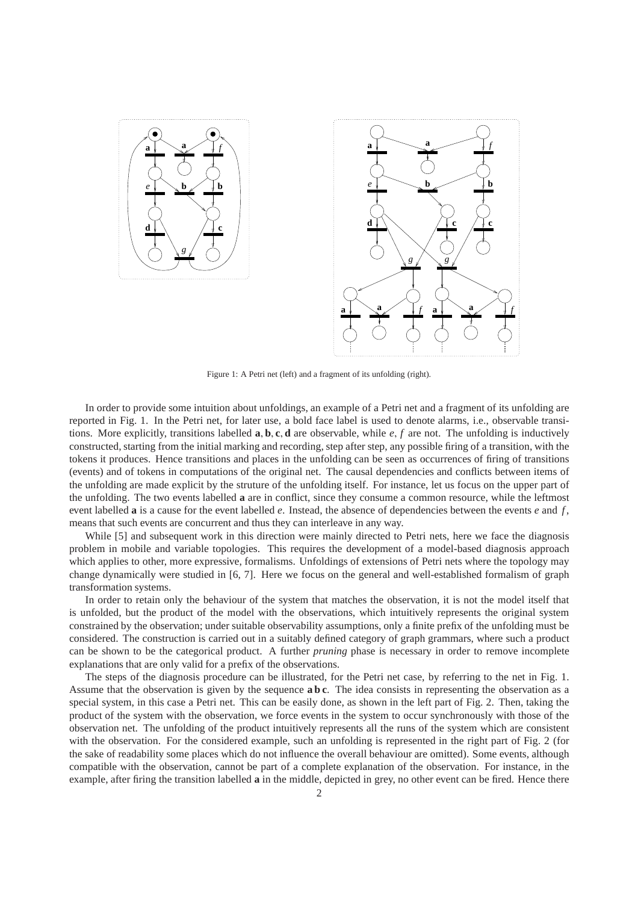



Figure 1: A Petri net (left) and a fragment of its unfolding (right).

In order to provide some intuition about unfoldings, an example of a Petri net and a fragment of its unfolding are reported in Fig. 1. In the Petri net, for later use, a bold face label is used to denote alarms, i.e., observable transitions. More explicitly, transitions labelled **a**, **b**, **c**, **d** are observable, while *e*, *f* are not. The unfolding is inductively constructed, starting from the initial marking and recording, step after step, any possible firing of a transition, with the tokens it produces. Hence transitions and places in the unfolding can be seen as occurrences of firing of transitions (events) and of tokens in computations of the original net. The causal dependencies and conflicts between items of the unfolding are made explicit by the struture of the unfolding itself. For instance, let us focus on the upper part of the unfolding. The two events labelled **a** are in conflict, since they consume a common resource, while the leftmost event labelled **a** is a cause for the event labelled *e*. Instead, the absence of dependencies between the events *e* and *f* , means that such events are concurrent and thus they can interleave in any way.

While [5] and subsequent work in this direction were mainly directed to Petri nets, here we face the diagnosis problem in mobile and variable topologies. This requires the development of a model-based diagnosis approach which applies to other, more expressive, formalisms. Unfoldings of extensions of Petri nets where the topology may change dynamically were studied in [6, 7]. Here we focus on the general and well-established formalism of graph transformation systems.

In order to retain only the behaviour of the system that matches the observation, it is not the model itself that is unfolded, but the product of the model with the observations, which intuitively represents the original system constrained by the observation; under suitable observability assumptions, only a finite prefix of the unfolding must be considered. The construction is carried out in a suitably defined category of graph grammars, where such a product can be shown to be the categorical product. A further *pruning* phase is necessary in order to remove incomplete explanations that are only valid for a prefix of the observations.

The steps of the diagnosis procedure can be illustrated, for the Petri net case, by referring to the net in Fig. 1. Assume that the observation is given by the sequence **a b c**. The idea consists in representing the observation as a special system, in this case a Petri net. This can be easily done, as shown in the left part of Fig. 2. Then, taking the product of the system with the observation, we force events in the system to occur synchronously with those of the observation net. The unfolding of the product intuitively represents all the runs of the system which are consistent with the observation. For the considered example, such an unfolding is represented in the right part of Fig. 2 (for the sake of readability some places which do not influence the overall behaviour are omitted). Some events, although compatible with the observation, cannot be part of a complete explanation of the observation. For instance, in the example, after firing the transition labelled **a** in the middle, depicted in grey, no other event can be fired. Hence there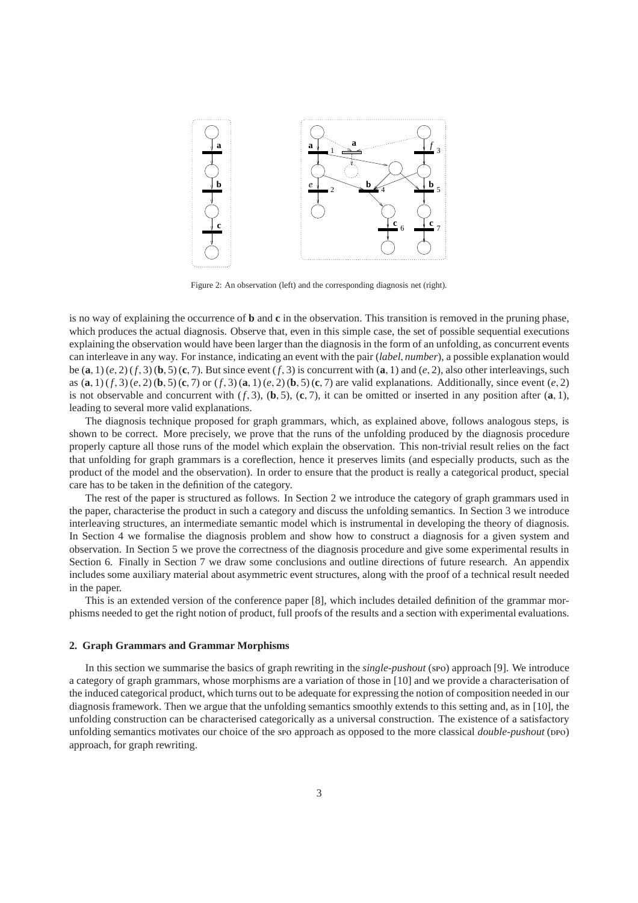

Figure 2: An observation (left) and the corresponding diagnosis net (right).

is no way of explaining the occurrence of **b** and **c** in the observation. This transition is removed in the pruning phase, which produces the actual diagnosis. Observe that, even in this simple case, the set of possible sequential executions explaining the observation would have been larger than the diagnosis in the form of an unfolding, as concurrent events can interleave in any way. For instance, indicating an event with the pair (*label*, *number*), a possible explanation would be  $(\mathbf{a}, 1)$  ( $e$ , 2) ( $f$ , 3)  $(\mathbf{b}, 5)$  ( $\mathbf{c}$ , 7). But since event ( $f$ , 3) is concurrent with  $(\mathbf{a}, 1)$  and ( $e$ , 2), also other interleavings, such as  $(**a**, 1)$  (*f*, 3) (*e*, 2) (**b**, 5) (**c**, 7) or (*f*, 3) (**a**, 1) (*e*, 2) (**b**, 5) (**c**, 7) are valid explanations. Additionally, since event (*e*, 2) is not observable and concurrent with  $(f, 3)$ ,  $(\mathbf{b}, 5)$ ,  $(\mathbf{c}, 7)$ , it can be omitted or inserted in any position after  $(\mathbf{a}, 1)$ , leading to several more valid explanations.

The diagnosis technique proposed for graph grammars, which, as explained above, follows analogous steps, is shown to be correct. More precisely, we prove that the runs of the unfolding produced by the diagnosis procedure properly capture all those runs of the model which explain the observation. This non-trivial result relies on the fact that unfolding for graph grammars is a coreflection, hence it preserves limits (and especially products, such as the product of the model and the observation). In order to ensure that the product is really a categorical product, special care has to be taken in the definition of the category.

The rest of the paper is structured as follows. In Section 2 we introduce the category of graph grammars used in the paper, characterise the product in such a category and discuss the unfolding semantics. In Section 3 we introduce interleaving structures, an intermediate semantic model which is instrumental in developing the theory of diagnosis. In Section 4 we formalise the diagnosis problem and show how to construct a diagnosis for a given system and observation. In Section 5 we prove the correctness of the diagnosis procedure and give some experimental results in Section 6. Finally in Section 7 we draw some conclusions and outline directions of future research. An appendix includes some auxiliary material about asymmetric event structures, along with the proof of a technical result needed in the paper.

This is an extended version of the conference paper [8], which includes detailed definition of the grammar morphisms needed to get the right notion of product, full proofs of the results and a section with experimental evaluations.

## **2. Graph Grammars and Grammar Morphisms**

In this section we summarise the basics of graph rewriting in the *single-pushout* (spo) approach [9]. We introduce a category of graph grammars, whose morphisms are a variation of those in [10] and we provide a characterisation of the induced categorical product, which turns out to be adequate for expressing the notion of composition needed in our diagnosis framework. Then we argue that the unfolding semantics smoothly extends to this setting and, as in [10], the unfolding construction can be characterised categorically as a universal construction. The existence of a satisfactory unfolding semantics motivates our choice of the spo approach as opposed to the more classical *double-pushout* (ppo) approach, for graph rewriting.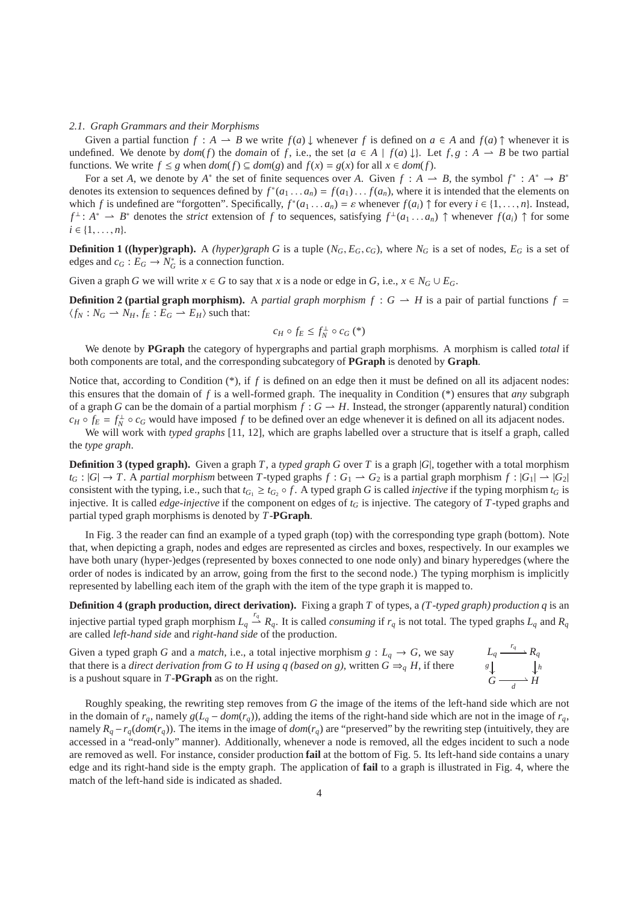#### *2.1. Graph Grammars and their Morphisms*

Given a partial function  $f : A \to B$  we write  $f(a) \downarrow$  whenever  $f$  is defined on  $a \in A$  and  $f(a) \uparrow$  whenever it is undefined. We denote by  $dom(f)$  the *domain* of f, i.e., the set  $\{a \in A \mid f(a) \downarrow\}$ . Let  $f, g : A \to B$  be two partial functions. We write  $f \leq g$  when  $dom(f) \subseteq dom(g)$  and  $f(x) = g(x)$  for all  $x \in dom(f)$ .

For a set *A*, we denote by  $A^*$  the set of finite sequences over *A*. Given  $f : A \rightarrow B$ , the symbol  $f^* : A^* \rightarrow B^*$ denotes its extension to sequences defined by  $f^*(a_1 \dots a_n) = f(a_1) \dots f(a_n)$ , where it is intended that the elements on which *f* is undefined are "forgotten". Specifically,  $f^*(a_1 \dots a_n) = \varepsilon$  whenever  $f(a_i) \uparrow$  for every  $i \in \{1, \dots, n\}$ . Instead,  $f^{\perp}$ :  $A^* \rightharpoonup B^*$  denotes the *strict* extension of *f* to sequences, satisfying  $f^{\perp}(a_1 \ldots a_n) \uparrow$  whenever  $f(a_i) \uparrow$  for some  $i \in \{1, \ldots, n\}.$ 

**Definition 1 ((hyper)graph).** A *(hyper)graph G* is a tuple  $(N_G, E_G, c_G)$ , where  $N_G$  is a set of nodes,  $E_G$  is a set of edges and  $c_G : E_G \to N_G^*$  is a connection function.

Given a graph *G* we will write  $x \in G$  to say that *x* is a node or edge in *G*, i.e.,  $x \in N_G \cup E_G$ .

**Definition 2 (partial graph morphism).** A *partial graph morphism*  $f : G \to H$  is a pair of partial functions  $f =$  $\langle f_N : N_G \to N_H, f_E : E_G \to E_H \rangle$  such that:

$$
c_H \circ f_E \le f_N^{\perp} \circ c_G \left( \cdot \right)
$$

We denote by **PGraph** the category of hypergraphs and partial graph morphisms. A morphism is called *total* if both components are total, and the corresponding subcategory of **PGraph** is denoted by **Graph**.

Notice that, according to Condition (\*), if f is defined on an edge then it must be defined on all its adjacent nodes: this ensures that the domain of *f* is a well-formed graph. The inequality in Condition (\*) ensures that *any* subgraph of a graph *G* can be the domain of a partial morphism  $f : G \to H$ . Instead, the stronger (apparently natural) condition  $c_H \circ f_E = f_N^{\perp} \circ c_G$  would have imposed *f* to be defined over an edge whenever it is defined on all its adjacent nodes.

We will work with *typed graphs* [11, 12], which are graphs labelled over a structure that is itself a graph, called the *type graph*.

**Definition 3 (typed graph).** Given a graph *T*, a *typed graph G* over *T* is a graph  $|G|$ , together with a total morphism  $t_G$ :  $|G| \rightarrow T$ . A *partial morphism* between *T*-typed graphs  $f: G_1 \rightarrow G_2$  is a partial graph morphism  $f: |G_1| \rightarrow |G_2|$ consistent with the typing, i.e., such that  $t_{G_1} \ge t_{G_2} \circ f$ . A typed graph *G* is called *injective* if the typing morphism  $t_G$  is injective. It is called *edge-injective* if the component on edges of *t<sup>G</sup>* is injective. The category of *T*-typed graphs and partial typed graph morphisms is denoted by *T*-**PGraph**.

In Fig. 3 the reader can find an example of a typed graph (top) with the corresponding type graph (bottom). Note that, when depicting a graph, nodes and edges are represented as circles and boxes, respectively. In our examples we have both unary (hyper-)edges (represented by boxes connected to one node only) and binary hyperedges (where the order of nodes is indicated by an arrow, going from the first to the second node.) The typing morphism is implicitly represented by labelling each item of the graph with the item of the type graph it is mapped to.

**Definition 4 (graph production, direct derivation).** Fixing a graph *T* of types, a *(T-typed graph) production q* is an injective partial typed graph morphism  $L_q \stackrel{r_q}{\rightarrow} R_q$ . It is called *consuming* if  $r_q$  is not total. The typed graphs  $L_q$  and  $R_q$ are called *left-hand side* and *right-hand side* of the production.

Given a typed graph *G* and a *match*, i.e., a total injective morphism  $g: L_q \to G$ , we say that there is a *direct derivation from G to H using q (based on g)*, written  $G \Rightarrow q H$ , if there is a pushout square in *T*-**PGraph** as on the right. *Lq* g<br>
a  $\frac{r_q}{\cdot}$   $R_q$  $\downarrow$  *G*  $\longrightarrow$  *H*<sup>*h*</sup><br>*G*  $\longrightarrow$  *H* 

Roughly speaking, the rewriting step removes from *G* the image of the items of the left-hand side which are not in the domain of  $r_q$ , namely  $g(L_q - dom(r_q))$ , adding the items of the right-hand side which are not in the image of  $r_q$ , namely  $R_q - r_q(dom(r_q))$ . The items in the image of  $dom(r_q)$  are "preserved" by the rewriting step (intuitively, they are accessed in a "read-only" manner). Additionally, whenever a node is removed, all the edges incident to such a node are removed as well. For instance, consider production **fail** at the bottom of Fig. 5. Its left-hand side contains a unary edge and its right-hand side is the empty graph. The application of **fail** to a graph is illustrated in Fig. 4, where the match of the left-hand side is indicated as shaded.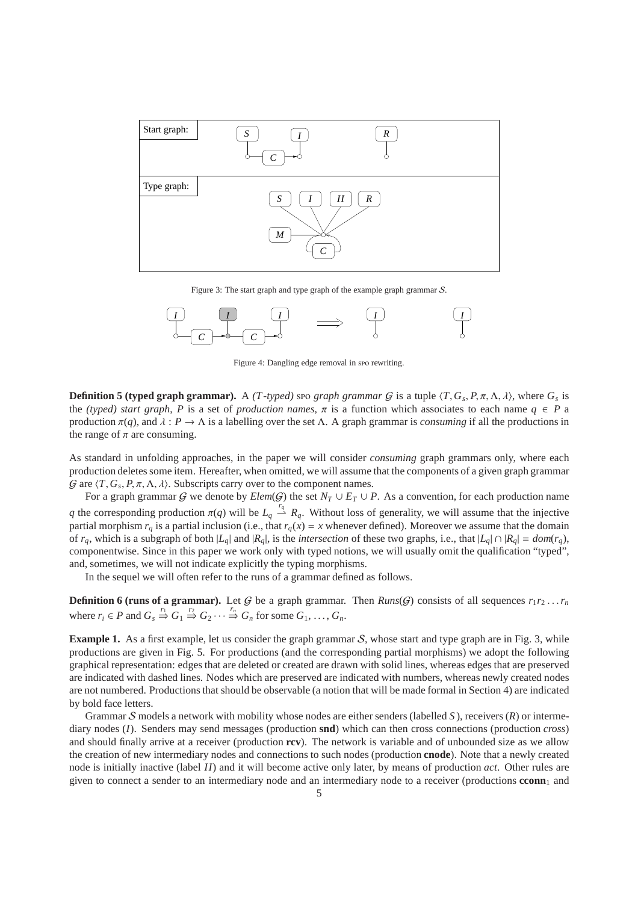

Figure 3: The start graph and type graph of the example graph grammar S.



Figure 4: Dangling edge removal in spo rewriting.

**Definition 5 (typed graph grammar).** A *(T-typed)* spo *graph grammar G* is a tuple  $\langle T, G_s, P, \pi, \Lambda, \lambda \rangle$ , where  $G_s$  is the *(typed) start graph*, *P* is a set of *production names*,  $\pi$  is a function which associates to each name  $q \in P$  a production  $\pi(q)$ , and  $\lambda : P \to \Lambda$  is a labelling over the set  $\Lambda$ . A graph grammar is *consuming* if all the productions in the range of  $\pi$  are consuming.

As standard in unfolding approaches, in the paper we will consider *consuming* graph grammars only, where each production deletes some item. Hereafter, when omitted, we will assume that the components of a given graph grammar  $G$  are  $\langle T, G_s, P, \pi, \Lambda, \lambda \rangle$ . Subscripts carry over to the component names.

For a graph grammar G we denote by  $\text{Elem}(G)$  the set  $N_T \cup E_T \cup P$ . As a convention, for each production name *q* the corresponding production  $\pi(q)$  will be  $L_q \stackrel{r_q}{\rightarrow} R_q$ . Without loss of generality, we will assume that the injective partial morphism  $r_q$  is a partial inclusion (i.e., that  $r_q(x) = x$  whenever defined). Moreover we assume that the domain of  $r_q$ , which is a subgraph of both  $|L_q|$  and  $|R_q|$ , is the *intersection* of these two graphs, i.e., that  $|L_q| \cap |R_q| = dom(r_q)$ , componentwise. Since in this paper we work only with typed notions, we will usually omit the qualification "typed", and, sometimes, we will not indicate explicitly the typing morphisms.

In the sequel we will often refer to the runs of a grammar defined as follows.

**Definition 6 (runs of a grammar).** Let G be a graph grammar. Then *Runs*(G) consists of all sequences  $r_1r_2 \tldots r_n$ where  $r_i \in P$  and  $G_s \stackrel{r_1}{\Rightarrow} G_1 \stackrel{r_2}{\Rightarrow} G_2 \cdots \stackrel{r_n}{\Rightarrow} G_n$  for some  $G_1, \ldots, G_n$ .

**Example 1.** As a first example, let us consider the graph grammar S, whose start and type graph are in Fig. 3, while productions are given in Fig. 5. For productions (and the corresponding partial morphisms) we adopt the following graphical representation: edges that are deleted or created are drawn with solid lines, whereas edges that are preserved are indicated with dashed lines. Nodes which are preserved are indicated with numbers, whereas newly created nodes are not numbered. Productions that should be observable (a notion that will be made formal in Section 4) are indicated by bold face letters.

Grammar S models a network with mobility whose nodes are either senders (labelled *S* ), receivers (*R*) or intermediary nodes (*I*). Senders may send messages (production **snd**) which can then cross connections (production *cross*) and should finally arrive at a receiver (production **rcv**). The network is variable and of unbounded size as we allow the creation of new intermediary nodes and connections to such nodes (production **cnode**). Note that a newly created node is initially inactive (label *II*) and it will become active only later, by means of production *act*. Other rules are given to connect a sender to an intermediary node and an intermediary node to a receiver (productions **cconn**<sub>1</sub> and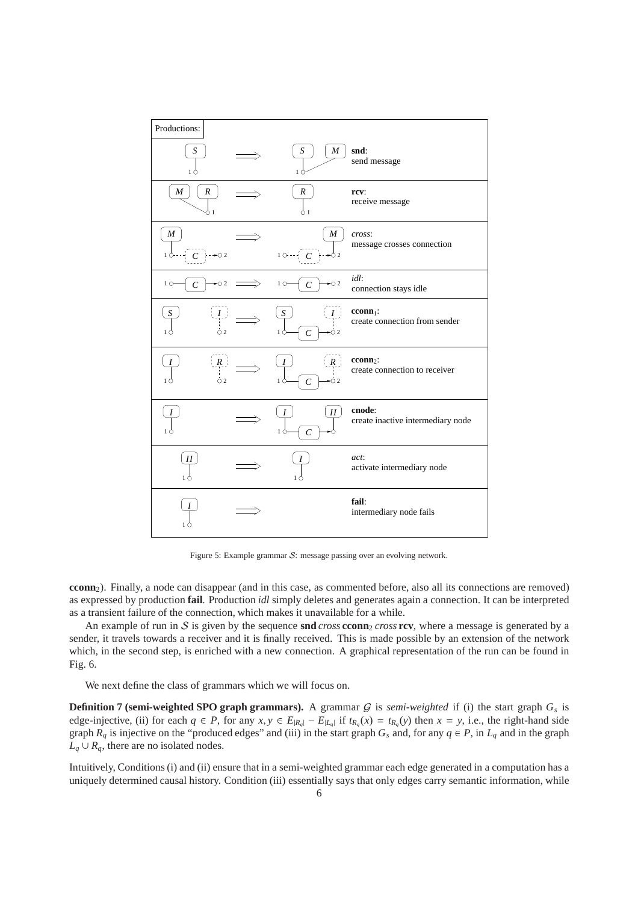

Figure 5: Example grammar S: message passing over an evolving network.

**cconn**2). Finally, a node can disappear (and in this case, as commented before, also all its connections are removed) as expressed by production **fail**. Production *idl* simply deletes and generates again a connection. It can be interpreted as a transient failure of the connection, which makes it unavailable for a while.

An example of run in S is given by the sequence **snd** *cross* **cconn**<sub>2</sub> *cross* **rcv**, where a message is generated by a sender, it travels towards a receiver and it is finally received. This is made possible by an extension of the network which, in the second step, is enriched with a new connection. A graphical representation of the run can be found in Fig. 6.

We next define the class of grammars which we will focus on.

**Definition 7 (semi-weighted SPO graph grammars).** A grammar  $G$  is *semi-weighted* if (i) the start graph  $G_s$  is edge-injective, (ii) for each  $q \in P$ , for any  $x, y \in E_{|R_q|} - E_{|L_q|}$  if  $t_{R_q}(x) = t_{R_q}(y)$  then  $x = y$ , i.e., the right-hand side graph  $R_q$  is injective on the "produced edges" and (iii) in the start graph  $G_s$  and, for any  $q \in P$ , in  $L_q$  and in the graph  $L_q \cup R_q$ , there are no isolated nodes.

Intuitively, Conditions (i) and (ii) ensure that in a semi-weighted grammar each edge generated in a computation has a uniquely determined causal history. Condition (iii) essentially says that only edges carry semantic information, while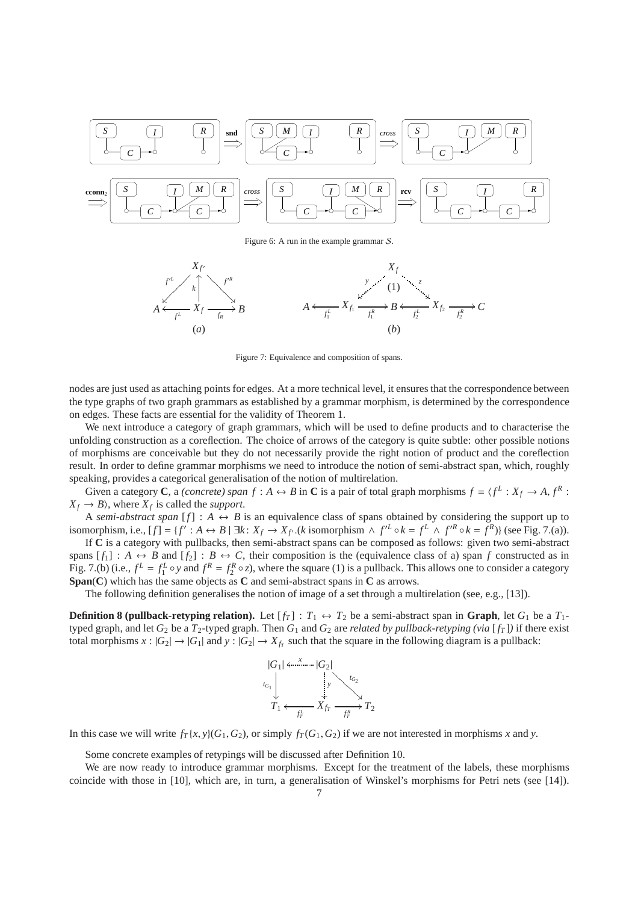

Figure 6: A run in the example grammar S.



Figure 7: Equivalence and composition of spans.

nodes are just used as attaching points for edges. At a more technical level, it ensures that the correspondence between the type graphs of two graph grammars as established by a grammar morphism, is determined by the correspondence on edges. These facts are essential for the validity of Theorem 1.

We next introduce a category of graph grammars, which will be used to define products and to characterise the unfolding construction as a coreflection. The choice of arrows of the category is quite subtle: other possible notions of morphisms are conceivable but they do not necessarily provide the right notion of product and the coreflection result. In order to define grammar morphisms we need to introduce the notion of semi-abstract span, which, roughly speaking, provides a categorical generalisation of the notion of multirelation.

Given a category **C**, a *(concrete) span*  $f : A \leftrightarrow B$  in **C** is a pair of total graph morphisms  $f = \langle f^L : X_f \to A, f^R : A \to B$  $X_f \rightarrow B$ , where  $X_f$  is called the *support*.

A *semi-abstract span* [ $f$ ] :  $A \leftrightarrow B$  is an equivalence class of spans obtained by considering the support up to isomorphism, i.e.,  $[f] = \{f' : A \leftrightarrow B \mid \exists k : X_f \to X_{f'}. (k \text{ isomorphism } \land f'^L \circ k = f^L \land f'^R \circ k = f^R) \}$  (see Fig. 7.(a)).

If **C** is a category with pullbacks, then semi-abstract spans can be composed as follows: given two semi-abstract spans  $[f_1] : A \leftrightarrow B$  and  $[f_2] : B \leftrightarrow C$ , their composition is the (equivalence class of a) span *f* constructed as in Fig. 7.(b) (i.e.,  $f^L = f_1^L \circ y$  and  $f^R = f_2^R \circ z$ ), where the square (1) is a pullback. This allows one to consider a category **Span**(**C**) which has the same objects as **C** and semi-abstract spans in **C** as arrows.

The following definition generalises the notion of image of a set through a multirelation (see, e.g., [13]).

**Definition 8 (pullback-retyping relation).** Let  $[f_T] : T_1 \leftrightarrow T_2$  be a semi-abstract span in **Graph**, let  $G_1$  be a  $T_1$ typed graph, and let  $G_2$  be a  $T_2$ -typed graph. Then  $G_1$  and  $G_2$  are *related by pullback-retyping (via* [ $f_T$ ]) if there exist total morphisms  $x : |G_2| \to |G_1|$  and  $y : |G_2| \to X_{f_T}$  such that the square in the following diagram is a pullback:



In this case we will write  $f_T(x, y)(G_1, G_2)$ , or simply  $f_T(G_1, G_2)$  if we are not interested in morphisms *x* and *y*.

Some concrete examples of retypings will be discussed after Definition 10.

We are now ready to introduce grammar morphisms. Except for the treatment of the labels, these morphisms coincide with those in [10], which are, in turn, a generalisation of Winskel's morphisms for Petri nets (see [14]).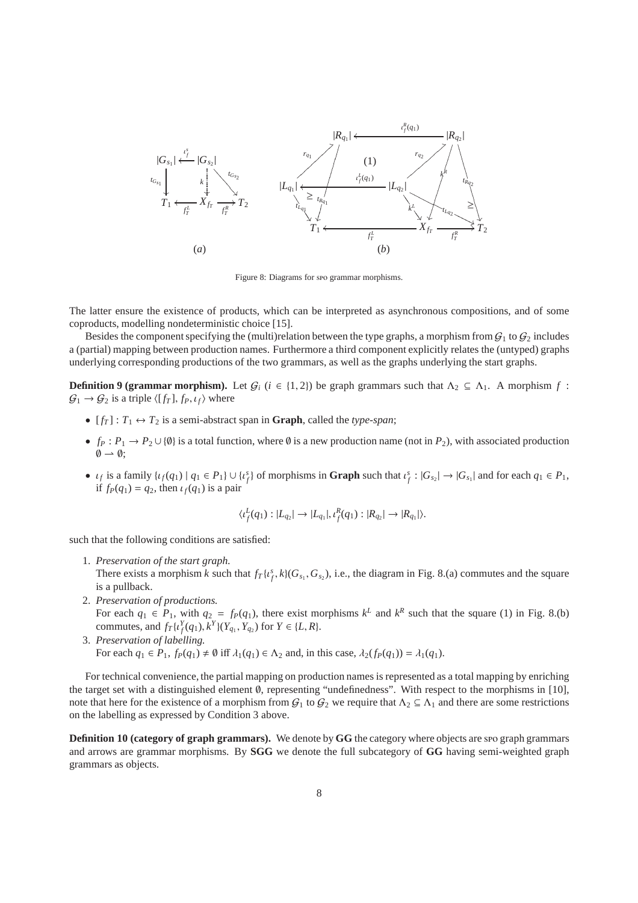

Figure 8: Diagrams for spo grammar morphisms.

The latter ensure the existence of products, which can be interpreted as asynchronous compositions, and of some coproducts, modelling nondeterministic choice [15].

Besides the component specifying the (multi)relation between the type graphs, a morphism from  $G_1$  to  $G_2$  includes a (partial) mapping between production names. Furthermore a third component explicitly relates the (untyped) graphs underlying corresponding productions of the two grammars, as well as the graphs underlying the start graphs.

**Definition 9 (grammar morphism).** Let  $G_i$  ( $i \in \{1, 2\}$ ) be graph grammars such that  $\Lambda_2 \subseteq \Lambda_1$ . A morphism  $f$ :  $\mathcal{G}_1 \rightarrow \mathcal{G}_2$  is a triple  $\langle [f_T], f_P, \iota_f \rangle$  where

- $[f_T] : T_1 \leftrightarrow T_2$  is a semi-abstract span in **Graph**, called the *type-span*;
- $f_P: P_1 \to P_2 \cup \{\emptyset\}$  is a total function, where  $\emptyset$  is a new production name (not in  $P_2$ ), with associated production  $\emptyset \rightarrow \emptyset;$
- $\iota_f$  is a family  $\{\iota_f(q_1) \mid q_1 \in P_1\} \cup \{\iota_f^s\}$  of morphisms in **Graph** such that  $\iota_f^s : |G_{s_2}| \to |G_{s_1}|$  and for each  $q_1 \in P_1$ , if  $f_P(q_1) = q_2$ , then  $\iota_f(q_1)$  is a pair

$$
\langle \iota_f^L(q_1) : |L_{q_2}| \to |L_{q_1}|, \iota_f^R(q_1) : |R_{q_2}| \to |R_{q_1}| \rangle.
$$

such that the following conditions are satisfied:

- 1. *Preservation of the start graph.* There exists a morphism *k* such that  $f_T\{t_f^s, k\}(G_{s_1}, G_{s_2})$ , i.e., the diagram in Fig. 8.(a) commutes and the square is a pullback.
- 2. *Preservation of productions.* For each  $q_1 \in P_1$ , with  $q_2 = f_P(q_1)$ , there exist morphisms  $k^L$  and  $k^R$  such that the square (1) in Fig. 8.(b) commutes, and  $f_T\{t_f^Y(q_1), k^Y\}(Y_{q_1}, Y_{q_2})$  for  $Y \in \{L, R\}.$
- 3. *Preservation of labelling.* For each  $q_1 \in P_1$ ,  $f_P(q_1) \neq \emptyset$  iff  $\lambda_1(q_1) \in \Lambda_2$  and, in this case,  $\lambda_2(f_P(q_1)) = \lambda_1(q_1)$ .

For technical convenience, the partial mapping on production names is represented as a total mapping by enriching the target set with a distinguished element ∅, representing "undefinedness". With respect to the morphisms in [10], note that here for the existence of a morphism from  $G_1$  to  $G_2$  we require that  $\Lambda_2 \subseteq \Lambda_1$  and there are some restrictions on the labelling as expressed by Condition 3 above.

**Definition 10 (category of graph grammars).** We denote by **GG** the category where objects are spo graph grammars and arrows are grammar morphisms. By **SGG** we denote the full subcategory of **GG** having semi-weighted graph grammars as objects.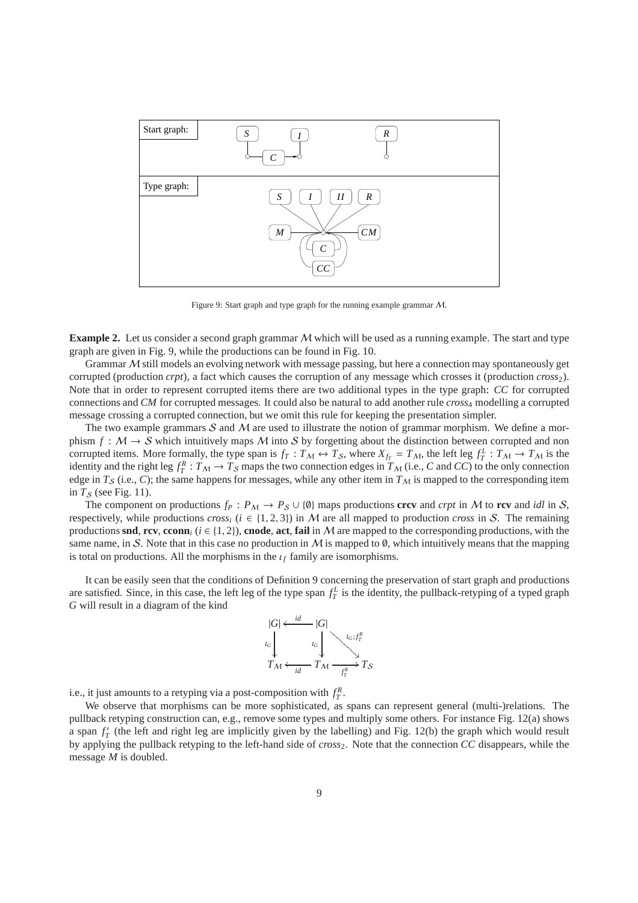

Figure 9: Start graph and type graph for the running example grammar M.

**Example 2.** Let us consider a second graph grammar M which will be used as a running example. The start and type graph are given in Fig. 9, while the productions can be found in Fig. 10.

Grammar  $M$  still models an evolving network with message passing, but here a connection may spontaneously get corrupted (production *crpt*), a fact which causes the corruption of any message which crosses it (production *cross*2). Note that in order to represent corrupted items there are two additional types in the type graph: *CC* for corrupted connections and *CM* for corrupted messages. It could also be natural to add another rule *cross*<sup>4</sup> modelling a corrupted message crossing a corrupted connection, but we omit this rule for keeping the presentation simpler.

The two example grammars  $S$  and  $M$  are used to illustrate the notion of grammar morphism. We define a morphism  $f : \mathcal{M} \to \mathcal{S}$  which intuitively maps  $\mathcal{M}$  into  $\mathcal{S}$  by forgetting about the distinction between corrupted and non corrupted items. More formally, the type span is  $f_T: T_M \leftrightarrow T_S$ , where  $X_{f_T} = T_M$ , the left leg  $f_T^L: T_M \to T_M$  is the identity and the right leg  $f_T^R: T_M \to T_S$  maps the two connection edges in  $T_M$  (i.e., *C* and *CC*) to the only connection edge in  $T_S$  (i.e., C); the same happens for messages, while any other item in  $T_M$  is mapped to the corresponding item in  $T_S$  (see Fig. 11).

The component on productions  $f_P$ :  $P_M \to P_S \cup \{0\}$  maps productions **crcv** and *crpt* in M to **rcv** and *idl* in S, respectively, while productions *cross<sub>i</sub>* ( $i \in \{1, 2, 3\}$ ) in M are all mapped to production *cross* in S. The remaining productions **snd**, **rcv**, **cconn**<sub>*i*</sub> ( $i \in \{1, 2\}$ ), **cnode**, act, **fail** in M are mapped to the corresponding productions, with the same name, in S. Note that in this case no production in M is mapped to  $\emptyset$ , which intuitively means that the mapping is total on productions. All the morphisms in the  $\iota_f$  family are isomorphisms.

It can be easily seen that the conditions of Definition 9 concerning the preservation of start graph and productions are satisfied. Since, in this case, the left leg of the type span  $f_T^L$  is the identity, the pullback-retyping of a typed graph *G* will result in a diagram of the kind



i.e., it just amounts to a retyping via a post-composition with  $f_T^R$ .

We observe that morphisms can be more sophisticated, as spans can represent general (multi-)relations. The pullback retyping construction can, e.g., remove some types and multiply some others. For instance Fig. 12(a) shows a span  $f'_T$  (the left and right leg are implicitly given by the labelling) and Fig. 12(b) the graph which would result by applying the pullback retyping to the left-hand side of *cross*2. Note that the connection *CC* disappears, while the message *M* is doubled.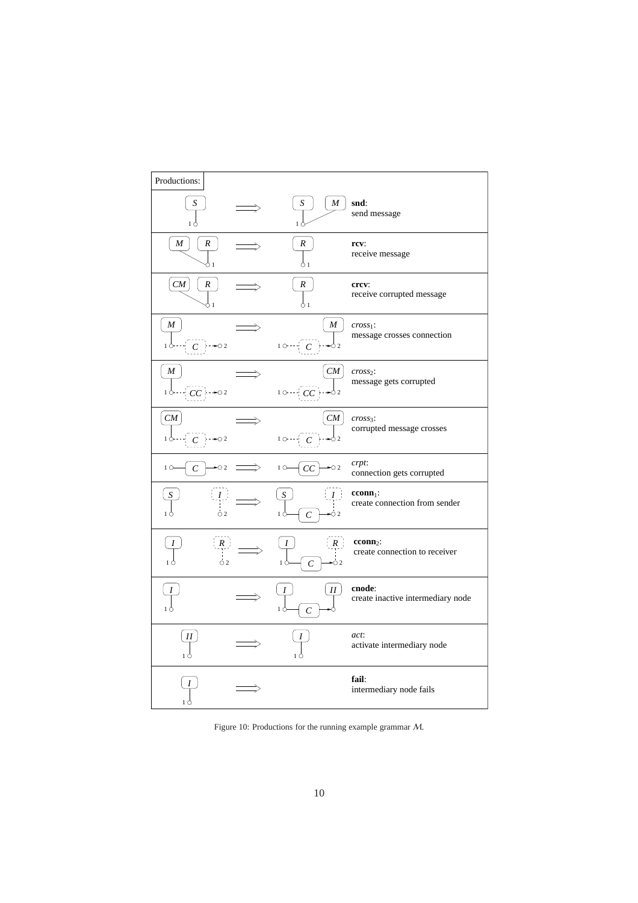| Productions:                         |                                        |                                                       |
|--------------------------------------|----------------------------------------|-------------------------------------------------------|
| S<br>16                              | $M_{\rm}$<br>S                         | snd:<br>send message                                  |
| $\boldsymbol{R}$<br>M<br>ሰ 1         | R<br>91                                | rcv:<br>receive message                               |
| CM<br>R<br>ጎ 1                       | R<br>91                                | crcv:<br>receive corrupted message                    |
| M<br>$+ -02$<br>1 Ċ<br>C             | M<br>$10 - \frac{1}{2} C$              | $cross1$ :<br>message crosses connection              |
| M<br>$CC$ $\rightarrow$ 02           | CM<br>$10 - C$                         | $cross2$ :<br>message gets corrupted                  |
| ${\it CM}$<br>$C \rightarrow \infty$ | CM<br>$10$ $\cdot$ $\cdot$ $C$ $\cdot$ | $cross3$ :<br>corrupted message crosses               |
| $1^\circ$<br>$\sim$ 2<br>$\,c\,$     | $1^\circ$<br>CC                        | crpt:<br>connection gets corrupted                    |
| $\mid I \mid$<br>$\circ$ 2<br>1 Ċ    | I<br>$\overline{C}$<br>О2              | $cconn1$ :<br>create connection from sender           |
| (R)<br>$\dot{\circ}$ 2<br>1 Ċ        | R<br>$\mathcal{C}_{0}^{0}$<br>Ò2       | cconn <sub>2</sub> :<br>create connection to receiver |
|                                      | II<br>$\mathcal{C}_{0}^{(n)}$          | cnode:<br>create inactive intermediary node           |
| $_{II}$<br>10                        | 1 Ò                                    | act:<br>activate intermediary node                    |
| 1 Ò                                  |                                        | fail:<br>intermediary node fails                      |

Figure 10: Productions for the running example grammar M.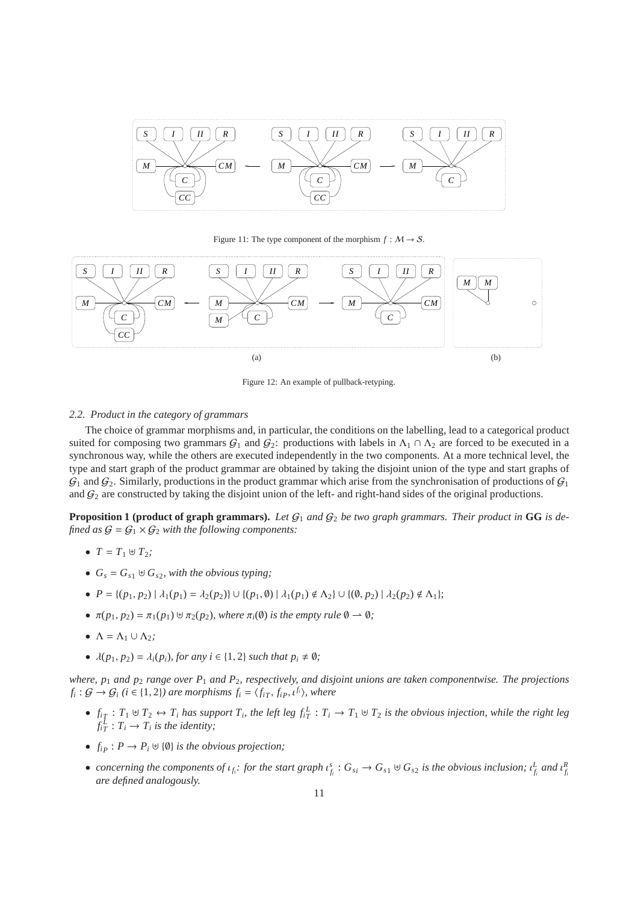

Figure 11: The type component of the morphism  $f : M \to S$ .



Figure 12: An example of pullback-retyping.

## *2.2. Product in the category of grammars*

The choice of grammar morphisms and, in particular, the conditions on the labelling, lead to a categorical product suited for composing two grammars  $G_1$  and  $G_2$ : productions with labels in  $\Lambda_1 \cap \Lambda_2$  are forced to be executed in a synchronous way, while the others are executed independently in the two components. At a more technical level, the type and start graph of the product grammar are obtained by taking the disjoint union of the type and start graphs of  $G_1$  and  $G_2$ . Similarly, productions in the product grammar which arise from the synchronisation of productions of  $G_1$ and  $G_2$  are constructed by taking the disjoint union of the left- and right-hand sides of the original productions.

**Proposition 1 (product of graph grammars).** Let  $G_1$  and  $G_2$  be two graph grammars. Their product in GG is de*fined as*  $G = G_1 \times G_2$  *with the following components:* 

- $T = T_1 \oplus T_2;$
- $\bullet$  *G<sub>s</sub>* = *G<sub>s1</sub>*  $\uplus$  *G<sub>s2</sub>*, *with the obvious typing*;
- $P = \{(p_1, p_2) | \lambda_1(p_1) = \lambda_2(p_2) \} \cup \{(p_1, \emptyset) | \lambda_1(p_1) \notin \Lambda_2\} \cup \{(0, p_2) | \lambda_2(p_2) \notin \Lambda_1\};$
- $\pi(p_1, p_2) = \pi_1(p_1) \uplus \pi_2(p_2)$ *, where*  $\pi_i(\emptyset)$  *is the empty rule*  $\emptyset \to \emptyset$ *;*
- $\Lambda = \Lambda_1 \cup \Lambda_2$ ;
- $\lambda(p_1, p_2) = \lambda_i(p_i)$ , for any  $i \in \{1, 2\}$  *such that*  $p_i \neq \emptyset$ ;

*where, p*<sup>1</sup> *and p*<sup>2</sup> *range over P*<sup>1</sup> *and P*2*, respectively, and disjoint unions are taken componentwise. The projections*  $f_i: G \to G_i$  ( $i \in \{1, 2\}$ ) are morphisms  $f_i = \langle f_{iT}, f_{iP}, t^{f_i} \rangle$ , where

- $f_{iT}: T_1 \uplus T_2 \leftrightarrow T_i$  has support  $T_i$ , the left leg  $f_{iT}^L: T_i \to T_1 \uplus T_2$  is the obvious injection, while the right leg  $f_{iT}^L: T_i \to T_i$  *is the identity;*
- $\bullet$  *f*<sub>*i*</sub>  $\cdot$  *P* → *P*<sub>*i*</sub>  $\uplus$  { $\emptyset$ } *is the obvious projection;*
- concerning the components of  $\iota_{f_i}$ : for the start graph  $\iota_{f_i}^s$ :  $G_{s_i} \to G_{s_1} \uplus G_{s_2}$  is the obvious inclusion;  $\iota_{f_i}^L$  and  $\iota_{f_i}^R$ *are defined analogously.*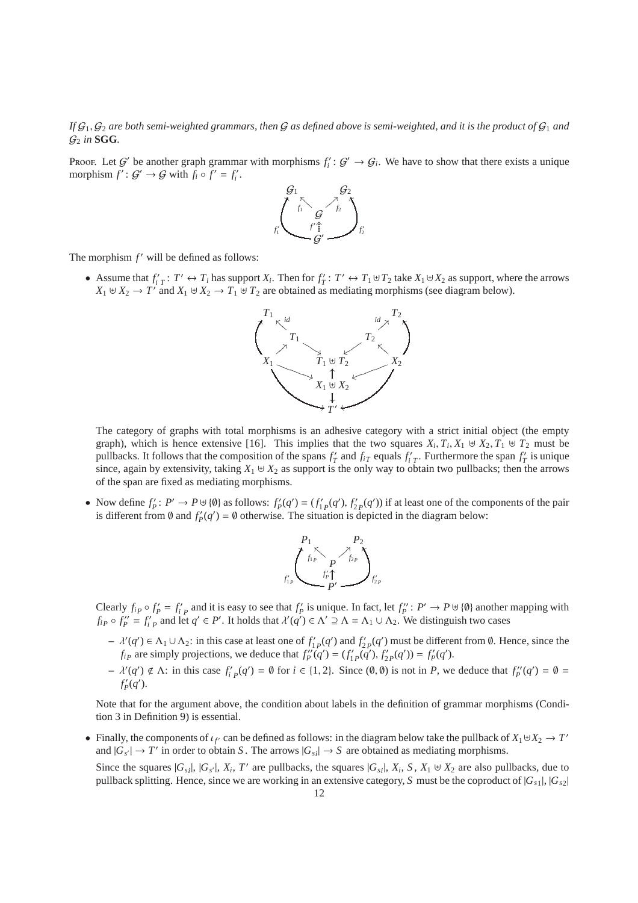If  $G_1, G_2$  are both semi-weighted grammars, then G as defined above is semi-weighted, and it is the product of  $G_1$  and  $\mathcal{G}_2$  *in* **SGG**.

Proof. Let  $G'$  be another graph grammar with morphisms  $f_i': G' \to G_i$ . We have to show that there exists a unique morphism  $f' : G' \to G$  with  $f_i \circ f' = f'_i$ .



The morphism  $f'$  will be defined as follows:

 $\bullet$  Assume that  $f'_{i}$  *T*  $\prime$  →  $T_i$  has support  $X_i$ . Then for  $f'_T$ :  $T' \leftrightarrow T_1 \uplus T_2$  take  $X_1 \uplus X_2$  as support, where the arrows *X*<sub>1</sub> ⊎ *X*<sub>2</sub> → *T*<sup> $\prime$ </sup> and *X*<sub>1</sub> ⊎ *X*<sub>2</sub> → *T*<sub>1</sub> ⊎ *T*<sub>2</sub> are obtained as mediating morphisms (see diagram below).



The category of graphs with total morphisms is an adhesive category with a strict initial object (the empty graph), which is hence extensive [16]. This implies that the two squares  $X_i, T_i, X_1 \cup X_2, T_1 \cup T_2$  must be pullbacks. It follows that the composition of the spans  $f'_T$  and  $f_{iT}$  equals  $f'_T$ . Furthermore the span  $f'_T$  is unique since, again by extensivity, taking  $X_1 \oplus X_2$  as support is the only way to obtain two pullbacks; then the arrows of the span are fixed as mediating morphisms.

• Now define  $f'_p: P' \to P \cup \{0\}$  as follows:  $f'_p(q') = (f'_{1p}(q'), f'_{2p}(q'))$  if at least one of the components of the pair is different from Ø and  $f'_{P}(q') = \emptyset$  otherwise. The situation is depicted in the diagram below:



Clearly  $f_{iP} \circ f'_{P} = f'_{iP}$  and it is easy to see that  $f'_{P}$  is unique. In fact, let  $f''_{P} : P' \to P \cup \{0\}$  another mapping with  $f_{iP} \circ f_P'' = f_i'_{P}$  and let  $q' \in P'$ . It holds that  $\lambda'(q') \in \Lambda' \supseteq \Lambda = \Lambda_1 \cup \Lambda_2$ . We distinguish two cases

- $\lambda'(q') \in Λ_1 ∪ Λ_2$ : in this case at least one of  $f'_{1P}(q')$  and  $f'_{2P}(q')$  must be different from **∅**. Hence, since the *f*<sub>*iP</sub>* are simply projections, we deduce that  $f''_P(q') = (f'_{1P}(q'), f'_{2P}(q')) = f'_{P}(q').$ </sub>
- $\lambda'(q') \notin \Lambda$ : in this case  $f'_{i,p}(q') = \emptyset$  for  $i \in \{1,2\}$ . Since  $(\emptyset, \emptyset)$  is not in *P*, we deduce that  $f''_{p}(q') = \emptyset$  $f'_{P}(q')$ .

Note that for the argument above, the condition about labels in the definition of grammar morphisms (Condition 3 in Definition 9) is essential.

• Finally, the components of  $\iota_{f'}$  can be defined as follows: in the diagram below take the pullback of  $X_1 \cup X_2 \to T'$ and  $|G_{s'}| \to T'$  in order to obtain *S*. The arrows  $|G_{s_i}| \to S$  are obtained as mediating morphisms.

Since the squares  $|G_{si}|$ ,  $|G_{s'}|$ ,  $X_i$ ,  $T'$  are pullbacks, the squares  $|G_{si}|$ ,  $X_i$ ,  $S$ ,  $X_1 \cup X_2$  are also pullbacks, due to pullback splitting. Hence, since we are working in an extensive category, *S* must be the coproduct of |*Gs*<sup>1</sup> |, |*Gs*<sup>2</sup> |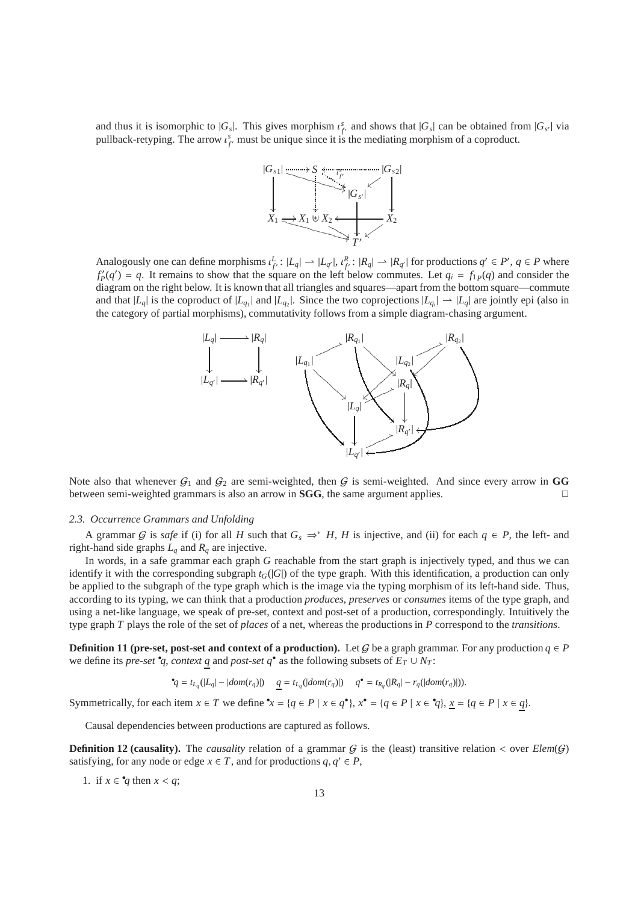and thus it is isomorphic to  $|G_s|$ . This gives morphism  $\iota_f^s$  and shows that  $|G_s|$  can be obtained from  $|G_{s'}|$  via pullback-retyping. The arrow  $\iota_f^s$  must be unique since it is the mediating morphism of a coproduct.



Analogously one can define morphisms  $\iota_{f'}^L$ :  $|L_q| \to |L_{q'}|$ ,  $\iota_{f'}^R$ :  $|R_q| \to |R_{q'}|$  for productions  $q' \in P'$ ,  $q \in P$  where  $f'_{P}(q') = q$ . It remains to show that the square on the left below commutes. Let  $q_i = f_{1P}(q)$  and consider the diagram on the right below. It is known that all triangles and squares—apart from the bottom square—commute and that  $|L_q|$  is the coproduct of  $|L_{q_1}|$  and  $|L_{q_2}|$ . Since the two coprojections  $|L_{q_1}| \to |L_q|$  are jointly epi (also in the category of partial morphisms), commutativity follows from a simple diagram-chasing argument.



Note also that whenever  $G_1$  and  $G_2$  are semi-weighted, then G is semi-weighted. And since every arrow in GG between semi-weighted grammars is also an arrow in **SGG**, the same argument applies. ✷

#### *2.3. Occurrence Grammars and Unfolding*

A grammar G is *safe* if (i) for all H such that  $G_s \Rightarrow^* H$ , H is injective, and (ii) for each  $q \in P$ , the left- and right-hand side graphs  $L_q$  and  $R_q$  are injective.

In words, in a safe grammar each graph *G* reachable from the start graph is injectively typed, and thus we can identify it with the corresponding subgraph  $t_G(|G|)$  of the type graph. With this identification, a production can only be applied to the subgraph of the type graph which is the image via the typing morphism of its left-hand side. Thus, according to its typing, we can think that a production *produces*, *preserves* or *consumes* items of the type graph, and using a net-like language, we speak of pre-set, context and post-set of a production, correspondingly. Intuitively the type graph *T* plays the role of the set of *places* of a net, whereas the productions in *P* correspond to the *transitions*.

**Definition 11 (pre-set, post-set and context of a production).** Let G be a graph grammar. For any production  $q \in P$ we define its *pre-set*  $\mathbf{e}_q$ , *context q* and *post-set q*<sup>•</sup> as the following subsets of  $E_T \cup N_T$ :

$$
^{\bullet}q = t_{L_q}(|L_q| - |dom(r_q)|) \quad q = t_{L_q}(|dom(r_q)|) \quad q^{\bullet} = t_{R_q}(|R_q| - r_q(|dom(r_q)|)).
$$

Symmetrically, for each item  $x \in T$  we define  $x = \{q \in P \mid x \in q^{\bullet}\}\$ ,  $x^{\bullet} = \{q \in P \mid x \in q\}\$ ,  $x = \{q \in P \mid x \in q\}$ .

Causal dependencies between productions are captured as follows.

**Definition 12 (causality).** The *causality* relation of a grammar  $G$  is the (least) transitive relation < over  $Elem(G)$ satisfying, for any node or edge  $x \in T$ , and for productions  $q, q' \in P$ ,

1. if  $x \in \mathcal{A}$  then  $x < q$ ;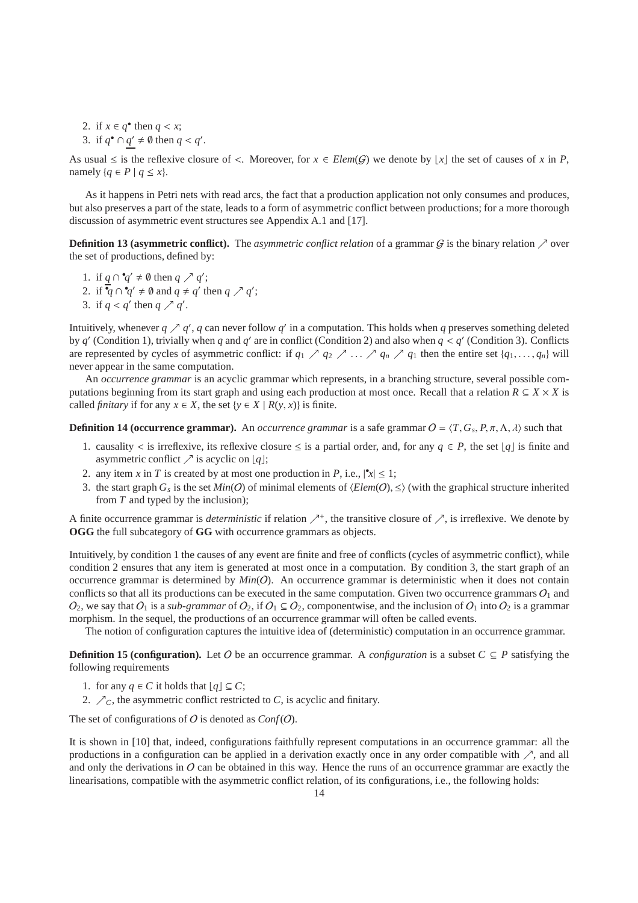2. if  $x \in q^{\bullet}$  then  $q < x$ ; 3. if  $q^{\bullet} \cap q' \neq \emptyset$  then  $q < q'$ .

As usual  $\leq$  is the reflexive closure of  $\lt$ . Moreover, for  $x \in \mathcal{E}$  leads (G) we denote by  $|x|$  the set of causes of x in P, namely  $\{q \in P \mid q \leq x\}.$ 

As it happens in Petri nets with read arcs, the fact that a production application not only consumes and produces, but also preserves a part of the state, leads to a form of asymmetric conflict between productions; for a more thorough discussion of asymmetric event structures see Appendix A.1 and [17].

**Definition 13 (asymmetric conflict).** The *asymmetric conflict relation* of a grammar  $G$  is the binary relation  $\nearrow$  over the set of productions, defined by:

1. if  $q \cap q' \neq \emptyset$  then  $q \nearrow q'$ ; 2. if  $\overline{q} \cap \overline{q}' \neq \emptyset$  and  $q \neq q'$  then  $q \nearrow q'$ ; 3. if  $q < q'$  then  $q \nearrow q'$ .

Intuitively, whenever  $q \nearrow q'$ , q can never follow q' in a computation. This holds when q preserves something deleted by  $q'$  (Condition 1), trivially when  $q$  and  $q'$  are in conflict (Condition 2) and also when  $q < q'$  (Condition 3). Conflicts are represented by cycles of asymmetric conflict: if  $q_1 \nearrow q_2 \nearrow \dots \nearrow q_n \nearrow q_1$  then the entire set  $\{q_1, \dots, q_n\}$  will never appear in the same computation.

An *occurrence grammar* is an acyclic grammar which represents, in a branching structure, several possible computations beginning from its start graph and using each production at most once. Recall that a relation  $R \subseteq X \times X$  is called *finitary* if for any  $x \in X$ , the set  $\{y \in X \mid R(y, x)\}$  is finite.

**Definition 14 (occurrence grammar).** An *occurrence grammar* is a safe grammar  $O = \langle T, G_s, P, \pi, \Lambda, \lambda \rangle$  such that

- 1. causality < is irreflexive, its reflexive closure  $\leq$  is a partial order, and, for any  $q \in P$ , the set  $\lfloor q \rfloor$  is finite and asymmetric conflict  $\nearrow$  is acyclic on [*q*];
- 2. any item *x* in *T* is created by at most one production in *P*, i.e.,  $|\mathbf{x}| \leq 1$ ;
- 3. the start graph  $G_s$  is the set  $Min(O)$  of minimal elements of  $\langle Element(O), \leq \rangle$  (with the graphical structure inherited from *T* and typed by the inclusion);

A finite occurrence grammar is *deterministic* if relation  $\nearrow^*$ , the transitive closure of  $\nearrow$ , is irreflexive. We denote by **OGG** the full subcategory of **GG** with occurrence grammars as objects.

Intuitively, by condition 1 the causes of any event are finite and free of conflicts (cycles of asymmetric conflict), while condition 2 ensures that any item is generated at most once in a computation. By condition 3, the start graph of an occurrence grammar is determined by  $Min(O)$ . An occurrence grammar is deterministic when it does not contain conflicts so that all its productions can be executed in the same computation. Given two occurrence grammars  $O_1$  and  $O_2$ , we say that  $O_1$  is a *sub-grammar* of  $O_2$ , if  $O_1 \subseteq O_2$ , componentwise, and the inclusion of  $O_1$  into  $O_2$  is a grammar morphism. In the sequel, the productions of an occurrence grammar will often be called events.

The notion of configuration captures the intuitive idea of (deterministic) computation in an occurrence grammar.

**Definition 15 (configuration).** Let O be an occurrence grammar. A *configuration* is a subset  $C \subseteq P$  satisfying the following requirements

- 1. for any  $q \in C$  it holds that  $\lfloor q \rfloor \subseteq C$ ;
- 2.  $\mathcal{L}_C$ , the asymmetric conflict restricted to *C*, is acyclic and finitary.

The set of configurations of  $O$  is denoted as  $Conf(O)$ .

It is shown in [10] that, indeed, configurations faithfully represent computations in an occurrence grammar: all the productions in a configuration can be applied in a derivation exactly once in any order compatible with  $\nearrow$ , and all and only the derivations in  $O$  can be obtained in this way. Hence the runs of an occurrence grammar are exactly the linearisations, compatible with the asymmetric conflict relation, of its configurations, i.e., the following holds: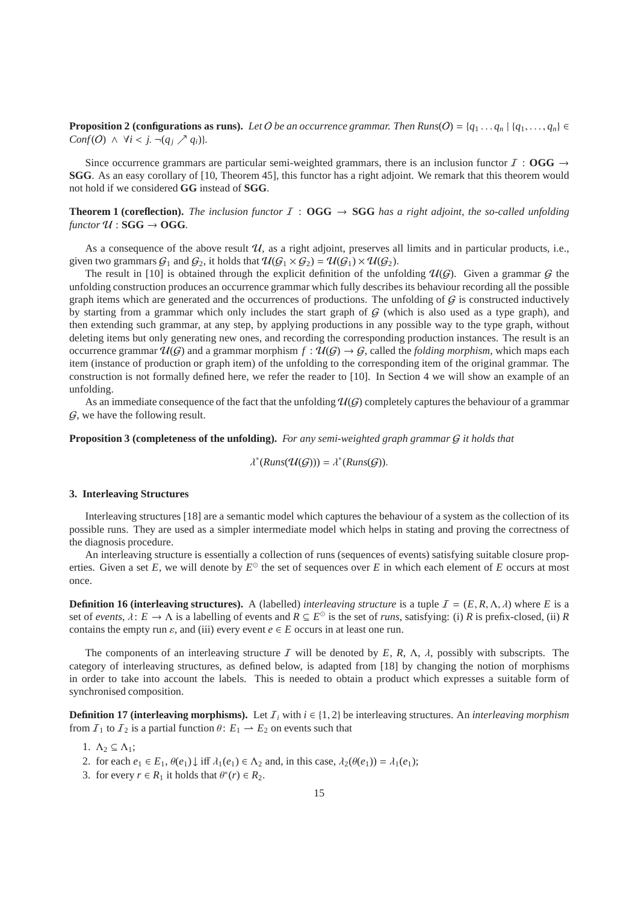**Proposition 2 (configurations as runs).** *Let* O *be an occurrence grammar. Then Runs*( $O$ ) = { $q_1 \ldots q_n$ } { $q_1, \ldots, q_n$ } ∈ *Conf*(*O*)  $\land \forall i < j$ . ¬ $(q_i \nearrow q_i)$ }.

Since occurrence grammars are particular semi-weighted grammars, there is an inclusion functor  $I : OGG \rightarrow$ **SGG**. As an easy corollary of [10, Theorem 45], this functor has a right adjoint. We remark that this theorem would not hold if we considered **GG** instead of **SGG**.

# **Theorem 1 (coreflection).** *The inclusion functor*  $I : OGG \rightarrow SGG$  *has a right adjoint, the so-called unfolding*  $f$ unctor  $U$ : **SGG**  $\rightarrow$  **OGG**.

As a consequence of the above result  $U$ , as a right adjoint, preserves all limits and in particular products, i.e., given two grammars  $G_1$  and  $G_2$ , it holds that  $\mathcal{U}(G_1 \times G_2) = \mathcal{U}(G_1) \times \mathcal{U}(G_2)$ .

The result in [10] is obtained through the explicit definition of the unfolding  $\mathcal{U}(\mathcal{G})$ . Given a grammar  $\mathcal{G}$  the unfolding construction produces an occurrence grammar which fully describes its behaviour recording all the possible graph items which are generated and the occurrences of productions. The unfolding of  $G$  is constructed inductively by starting from a grammar which only includes the start graph of  $G$  (which is also used as a type graph), and then extending such grammar, at any step, by applying productions in any possible way to the type graph, without deleting items but only generating new ones, and recording the corresponding production instances. The result is an occurrence grammar  $\mathcal{U}(G)$  and a grammar morphism  $f : \mathcal{U}(G) \to G$ , called the *folding morphism*, which maps each item (instance of production or graph item) of the unfolding to the corresponding item of the original grammar. The construction is not formally defined here, we refer the reader to [10]. In Section 4 we will show an example of an unfolding.

As an immediate consequence of the fact that the unfolding  $\mathcal{U}(G)$  completely captures the behaviour of a grammar  $G$ , we have the following result.

## **Proposition 3 (completeness of the unfolding).** *For any semi-weighted graph grammar* G *it holds that*

$$
\lambda^*(Runs(\mathcal{U}(\mathcal{G})))=\lambda^*(Runs(\mathcal{G})).
$$

## **3. Interleaving Structures**

Interleaving structures [18] are a semantic model which captures the behaviour of a system as the collection of its possible runs. They are used as a simpler intermediate model which helps in stating and proving the correctness of the diagnosis procedure.

An interleaving structure is essentially a collection of runs (sequences of events) satisfying suitable closure properties. Given a set  $E$ , we will denote by  $E^{\odot}$  the set of sequences over  $E$  in which each element of  $E$  occurs at most once.

**Definition 16 (interleaving structures).** A (labelled) *interleaving structure* is a tuple  $I = (E, R, \Lambda, \lambda)$  where *E* is a set of *events*,  $\lambda: E \to \Lambda$  is a labelling of events and  $R \subseteq E^{\odot}$  is the set of *runs*, satisfying: (i) *R* is prefix-closed, (ii) *R* contains the empty run  $\varepsilon$ , and (iii) every event  $e \in E$  occurs in at least one run.

The components of an interleaving structure I will be denoted by *E*, *R*, Λ, λ, possibly with subscripts. The category of interleaving structures, as defined below, is adapted from [18] by changing the notion of morphisms in order to take into account the labels. This is needed to obtain a product which expresses a suitable form of synchronised composition.

**Definition 17 (interleaving morphisms).** Let  $I_i$  with  $i \in \{1, 2\}$  be interleaving structures. An *interleaving morphism* from  $I_1$  to  $I_2$  is a partial function  $\theta$ :  $E_1 \rightarrow E_2$  on events such that

- 1.  $\Lambda_2 \subseteq \Lambda_1$ ;
- 2. for each  $e_1 \in E_1$ ,  $\theta(e_1) \downarrow$  iff  $\lambda_1(e_1) \in \Lambda_2$  and, in this case,  $\lambda_2(\theta(e_1)) = \lambda_1(e_1)$ ;
- 3. for every  $r \in R_1$  it holds that  $\theta^*(r) \in R_2$ .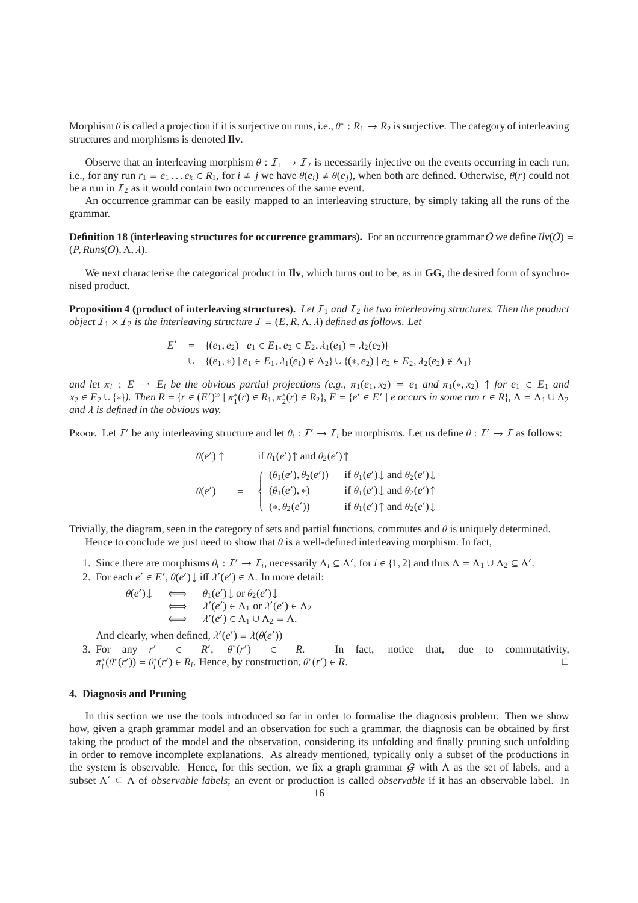Morphism  $\theta$  is called a projection if it is surjective on runs, i.e.,  $\theta^*: R_1 \to R_2$  is surjective. The category of interleaving structures and morphisms is denoted **Ilv**.

Observe that an interleaving morphism  $\theta: I_1 \to I_2$  is necessarily injective on the events occurring in each run, i.e., for any run  $r_1 = e_1 \ldots e_k \in R_1$ , for  $i \neq j$  we have  $\theta(e_i) \neq \theta(e_j)$ , when both are defined. Otherwise,  $\theta(r)$  could not be a run in  $I_2$  as it would contain two occurrences of the same event.

An occurrence grammar can be easily mapped to an interleaving structure, by simply taking all the runs of the grammar.

**Definition 18 (interleaving structures for occurrence grammars).** For an occurrence grammar O we define  $I\psi$ (O) =  $(P, Runs(O), \Lambda, \lambda).$ 

We next characterise the categorical product in **IIv**, which turns out to be, as in GG, the desired form of synchronised product.

**Proposition 4 (product of interleaving structures).** Let  $I_1$  and  $I_2$  be two interleaving structures. Then the product *object*  $I_1 \times I_2$  *is the interleaving structure*  $I = (E, R, \Lambda, \lambda)$  *defined as follows. Let* 

$$
E' = \{(e_1, e_2) \mid e_1 \in E_1, e_2 \in E_2, \lambda_1(e_1) = \lambda_2(e_2)\}
$$
  
 
$$
\cup \{(e_1, *) \mid e_1 \in E_1, \lambda_1(e_1) \notin \Lambda_2\} \cup \{(*, e_2) \mid e_2 \in E_2, \lambda_2(e_2) \notin \Lambda_1\}
$$

*and let*  $\pi_i$ :  $E \to E_i$  *be the obvious partial projections (e.g.,*  $\pi_1(e_1, x_2) = e_1$  *and*  $\pi_1(*, x_2) \uparrow$  *for*  $e_1 \in E_1$  *and*  $x_2 \in E_2 \cup \{*\}\$ . Then  $R = \{r \in (E')^{\circlearrowright} \mid \pi_1^*(r) \in R_1, \pi_2^*(r) \in R_2\}$ ,  $E = \{e' \in E' \mid e \text{ occurs in some run } r \in R\}$ ,  $\Lambda = \Lambda_1 \cup \Lambda_2$ *and* λ *is defined in the obvious way.*

Proof. Let I' be any interleaving structure and let  $\theta_i: I' \to I_i$  be morphisms. Let us define  $\theta: I' \to I$  as follows:

$$
\theta(e') \uparrow \qquad \text{if } \theta_1(e') \uparrow \text{ and } \theta_2(e') \uparrow
$$
\n
$$
\theta(e') = \begin{cases}\n(\theta_1(e'), \theta_2(e')) & \text{if } \theta_1(e') \downarrow \text{ and } \theta_2(e') \downarrow \\
(\theta_1(e'), *) & \text{if } \theta_1(e') \downarrow \text{ and } \theta_2(e') \uparrow \\
(*, \theta_2(e')) & \text{if } \theta_1(e') \uparrow \text{ and } \theta_2(e') \downarrow\n\end{cases}
$$

Trivially, the diagram, seen in the category of sets and partial functions, commutes and  $\theta$  is uniquely determined. Hence to conclude we just need to show that  $\theta$  is a well-defined interleaving morphism. In fact,

- 1. Since there are morphisms  $\theta_i : \mathcal{I}' \to \mathcal{I}_i$ , necessarily  $\Lambda_i \subseteq \Lambda'$ , for  $i \in \{1, 2\}$  and thus  $\Lambda = \Lambda_1 \cup \Lambda_2 \subseteq \Lambda'$ .
- 2. For each  $e' \in E'$ ,  $\theta(e') \downarrow$  iff  $\lambda'(e') \in \Lambda$ . In more detail:

$$
\theta(e') \downarrow \iff \theta_1(e') \downarrow \text{ or } \theta_2(e') \downarrow
$$
  

$$
\iff \lambda'(e') \in \Lambda_1 \text{ or } \lambda'(e') \in \Lambda_2
$$
  

$$
\iff \lambda'(e') \in \Lambda_1 \cup \Lambda_2 = \Lambda.
$$

And clearly, when defined,  $\lambda'(e') = \lambda(\theta(e'))$ 

3. For any  $r' \in R$ ',  $\theta^*(r')$  $\epsilon$  *R*. In fact, notice that, due to commutativity,  $\pi_i^*(\theta^*(r')) = \theta_i^*(r') \in R_i$ . Hence, by construction,  $\theta^*(r')$  $) \in R$ .

#### **4. Diagnosis and Pruning**

In this section we use the tools introduced so far in order to formalise the diagnosis problem. Then we show how, given a graph grammar model and an observation for such a grammar, the diagnosis can be obtained by first taking the product of the model and the observation, considering its unfolding and finally pruning such unfolding in order to remove incomplete explanations. As already mentioned, typically only a subset of the productions in the system is observable. Hence, for this section, we fix a graph grammar  $G$  with  $\Lambda$  as the set of labels, and a subset Λ ′ ⊆ Λ of *observable labels*; an event or production is called *observable* if it has an observable label. In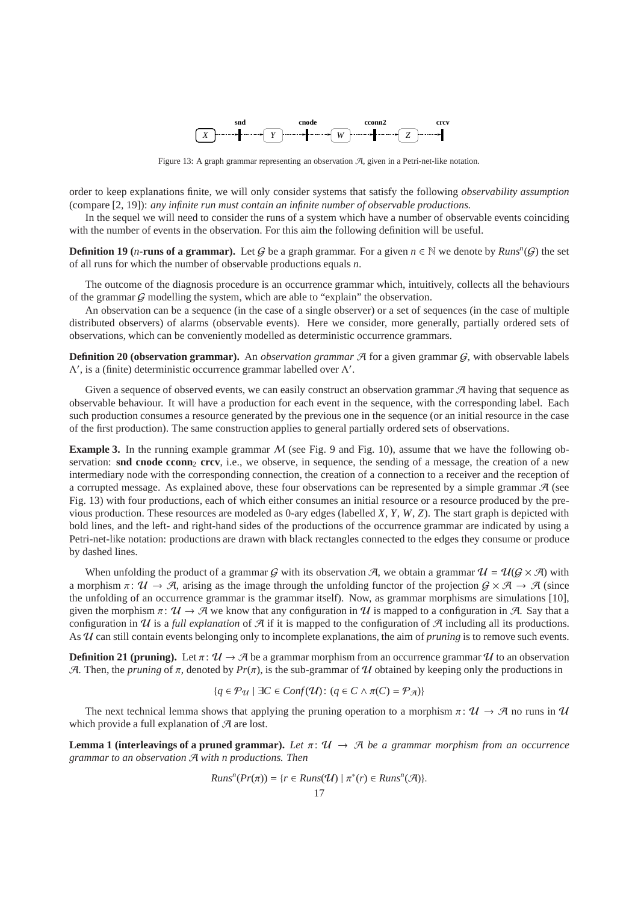

Figure 13: A graph grammar representing an observation  $A$ , given in a Petri-net-like notation.

order to keep explanations finite, we will only consider systems that satisfy the following *observability assumption* (compare [2, 19]): *any infinite run must contain an infinite number of observable productions.*

In the sequel we will need to consider the runs of a system which have a number of observable events coinciding with the number of events in the observation. For this aim the following definition will be useful.

**Definition 19** (*n***-runs of a grammar).** Let G be a graph grammar. For a given  $n \in \mathbb{N}$  we denote by  $Runs^n(G)$  the set of all runs for which the number of observable productions equals *n*.

The outcome of the diagnosis procedure is an occurrence grammar which, intuitively, collects all the behaviours of the grammar  $G$  modelling the system, which are able to "explain" the observation.

An observation can be a sequence (in the case of a single observer) or a set of sequences (in the case of multiple distributed observers) of alarms (observable events). Here we consider, more generally, partially ordered sets of observations, which can be conveniently modelled as deterministic occurrence grammars.

**Definition 20 (observation grammar).** An *observation grammar*  $\mathcal{A}$  for a given grammar  $G$ , with observable labels  $\Lambda'$ , is a (finite) deterministic occurrence grammar labelled over  $\Lambda'$ .

Given a sequence of observed events, we can easily construct an observation grammar  $\mathcal{A}$  having that sequence as observable behaviour. It will have a production for each event in the sequence, with the corresponding label. Each such production consumes a resource generated by the previous one in the sequence (or an initial resource in the case of the first production). The same construction applies to general partially ordered sets of observations.

**Example 3.** In the running example grammar M (see Fig. 9 and Fig. 10), assume that we have the following observation: **snd cnode cconn**<sub>2</sub> **crcv**, i.e., we observe, in sequence, the sending of a message, the creation of a new intermediary node with the corresponding connection, the creation of a connection to a receiver and the reception of a corrupted message. As explained above, these four observations can be represented by a simple grammar  $\mathcal{A}$  (see Fig. 13) with four productions, each of which either consumes an initial resource or a resource produced by the previous production. These resources are modeled as 0-ary edges (labelled *X*, *Y*, *W*, *Z*). The start graph is depicted with bold lines, and the left- and right-hand sides of the productions of the occurrence grammar are indicated by using a Petri-net-like notation: productions are drawn with black rectangles connected to the edges they consume or produce by dashed lines.

When unfolding the product of a grammar G with its observation A, we obtain a grammar  $\mathcal{U} = \mathcal{U}(G \times \mathcal{A})$  with a morphism  $\pi: \mathcal{U} \to \mathcal{A}$ , arising as the image through the unfolding functor of the projection  $\mathcal{G} \times \mathcal{A} \to \mathcal{A}$  (since the unfolding of an occurrence grammar is the grammar itself). Now, as grammar morphisms are simulations [10], given the morphism  $\pi: \mathcal{U} \to \mathcal{A}$  we know that any configuration in U is mapped to a configuration in A. Say that a configuration in  $\mathcal U$  is a *full explanation* of  $\mathcal A$  if it is mapped to the configuration of  $\mathcal A$  including all its productions. As U can still contain events belonging only to incomplete explanations, the aim of *pruning* is to remove such events.

**Definition 21 (pruning).** Let  $\pi: \mathcal{U} \to \mathcal{A}$  be a grammar morphism from an occurrence grammar  $\mathcal{U}$  to an observation A. Then, the *pruning* of  $\pi$ , denoted by  $Pr(\pi)$ , is the sub-grammar of U obtained by keeping only the productions in

$$
\{q \in \mathcal{P}_{\mathcal{U}} \mid \exists C \in Conf(\mathcal{U}): (q \in C \land \pi(C) = \mathcal{P}_{\mathcal{A}})\}\
$$

The next technical lemma shows that applying the pruning operation to a morphism  $\pi: \mathcal{U} \to \mathcal{A}$  no runs in  $\mathcal{U}$ which provide a full explanation of  $A$  are lost.

**Lemma 1 (interleavings of a pruned grammar).** Let  $\pi: \mathcal{U} \to \mathcal{A}$  be a grammar morphism from an occurrence *grammar to an observation* A *with n productions. Then*

$$
Runsn(Pr(\pi)) = \{r \in Runs(\mathcal{U}) \mid \pi^*(r) \in Runsn(\mathcal{A})\}.
$$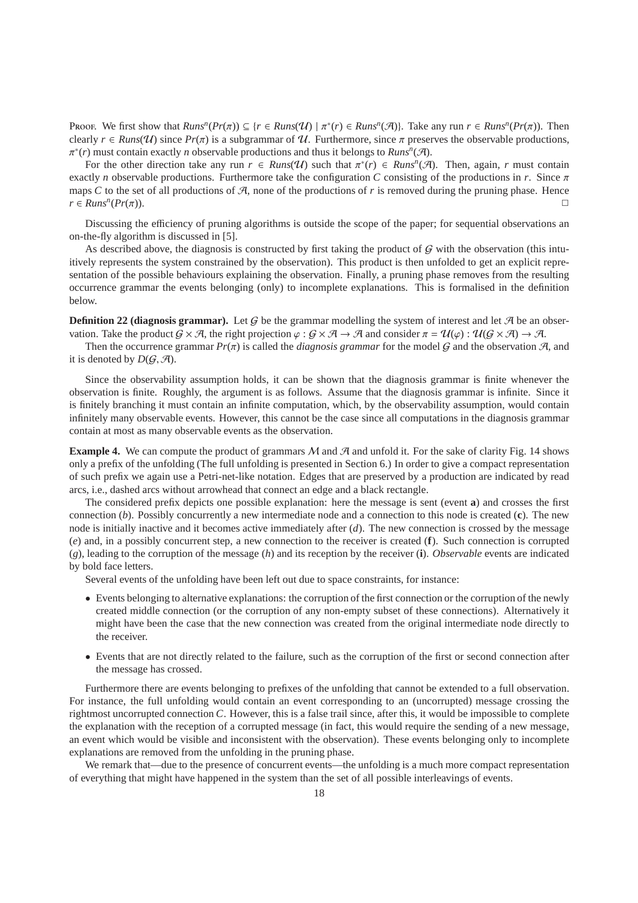Proof. We first show that  $Runs^n(Pr(\pi)) \subseteq \{r \in Runs(\mathcal{U}) \mid \pi^*(r) \in Runs^n(\mathcal{A})\}$ . Take any run  $r \in Runs^n(Pr(\pi))$ . Then clearly  $r \in \text{Runs}(\mathcal{U})$  since  $Pr(\pi)$  is a subgrammar of  $\mathcal{U}$ . Furthermore, since  $\pi$  preserves the observable productions,  $π<sup>*</sup>(r)$  must contain exactly *n* observable productions and thus it belongs to *Runs<sup>n</sup>*(*A*).

For the other direction take any run  $r \in Runs(\mathcal{U})$  such that  $\pi^*(r) \in Runs^n(\mathcal{A})$ . Then, again, *r* must contain exactly *n* observable productions. Furthermore take the configuration *C* consisting of the productions in *r*. Since  $\pi$ maps  $C$  to the set of all productions of  $A$ , none of the productions of  $r$  is removed during the pruning phase. Hence  $r \in$ *Runs<sup>n</sup>*( $Pr(\pi)$ ).  $(Pr(\pi))$ .

Discussing the efficiency of pruning algorithms is outside the scope of the paper; for sequential observations an on-the-fly algorithm is discussed in [5].

As described above, the diagnosis is constructed by first taking the product of  $G$  with the observation (this intuitively represents the system constrained by the observation). This product is then unfolded to get an explicit representation of the possible behaviours explaining the observation. Finally, a pruning phase removes from the resulting occurrence grammar the events belonging (only) to incomplete explanations. This is formalised in the definition below.

**Definition 22 (diagnosis grammar).** Let G be the grammar modelling the system of interest and let  $\mathcal{A}$  be an observation. Take the product  $G \times \mathcal{A}$ , the right projection  $\varphi : G \times \mathcal{A} \to \mathcal{A}$  and consider  $\pi = \mathcal{U}(\varphi) : \mathcal{U}(G \times \mathcal{A}) \to \mathcal{A}$ .

Then the occurrence grammar  $Pr(\pi)$  is called the *diagnosis grammar* for the model G and the observation A, and it is denoted by  $D(G, \mathcal{A})$ .

Since the observability assumption holds, it can be shown that the diagnosis grammar is finite whenever the observation is finite. Roughly, the argument is as follows. Assume that the diagnosis grammar is infinite. Since it is finitely branching it must contain an infinite computation, which, by the observability assumption, would contain infinitely many observable events. However, this cannot be the case since all computations in the diagnosis grammar contain at most as many observable events as the observation.

**Example 4.** We can compute the product of grammars  $M$  and  $\mathcal{A}$  and unfold it. For the sake of clarity Fig. 14 shows only a prefix of the unfolding (The full unfolding is presented in Section 6.) In order to give a compact representation of such prefix we again use a Petri-net-like notation. Edges that are preserved by a production are indicated by read arcs, i.e., dashed arcs without arrowhead that connect an edge and a black rectangle.

The considered prefix depicts one possible explanation: here the message is sent (event **a**) and crosses the first connection (*b*). Possibly concurrently a new intermediate node and a connection to this node is created (**c**). The new node is initially inactive and it becomes active immediately after (*d*). The new connection is crossed by the message (*e*) and, in a possibly concurrent step, a new connection to the receiver is created (**f**). Such connection is corrupted (*g*), leading to the corruption of the message (*h*) and its reception by the receiver (**i**). *Observable* events are indicated by bold face letters.

Several events of the unfolding have been left out due to space constraints, for instance:

- Events belonging to alternative explanations: the corruption of the first connection or the corruption of the newly created middle connection (or the corruption of any non-empty subset of these connections). Alternatively it might have been the case that the new connection was created from the original intermediate node directly to the receiver.
- Events that are not directly related to the failure, such as the corruption of the first or second connection after the message has crossed.

Furthermore there are events belonging to prefixes of the unfolding that cannot be extended to a full observation. For instance, the full unfolding would contain an event corresponding to an (uncorrupted) message crossing the rightmost uncorrupted connection *C*. However, this is a false trail since, after this, it would be impossible to complete the explanation with the reception of a corrupted message (in fact, this would require the sending of a new message, an event which would be visible and inconsistent with the observation). These events belonging only to incomplete explanations are removed from the unfolding in the pruning phase.

We remark that—due to the presence of concurrent events—the unfolding is a much more compact representation of everything that might have happened in the system than the set of all possible interleavings of events.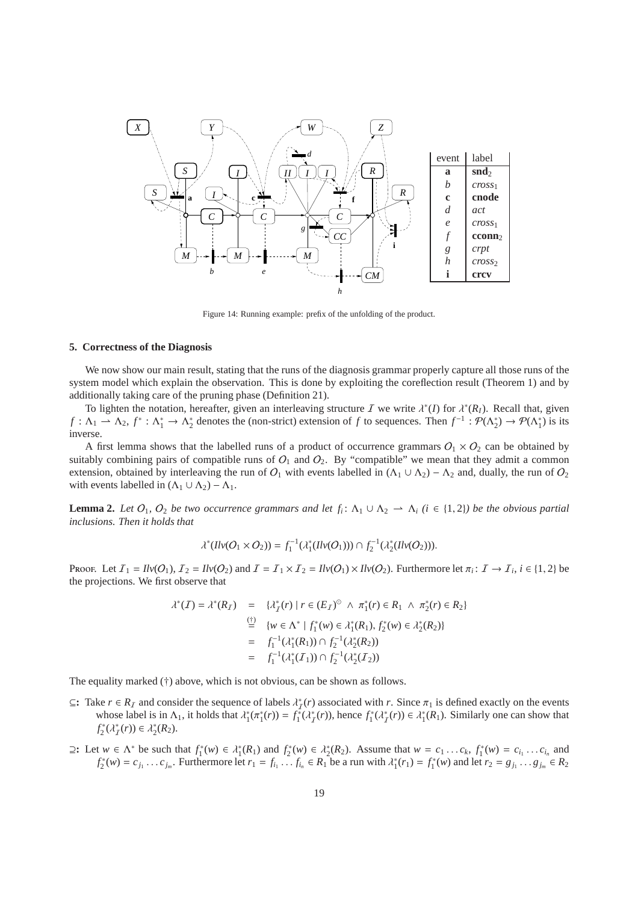

Figure 14: Running example: prefix of the unfolding of the product.

# **5. Correctness of the Diagnosis**

We now show our main result, stating that the runs of the diagnosis grammar properly capture all those runs of the system model which explain the observation. This is done by exploiting the coreflection result (Theorem 1) and by additionally taking care of the pruning phase (Definition 21).

To lighten the notation, hereafter, given an interleaving structure  $\bar{I}$  we write  $\lambda^*(I)$  for  $\lambda^*(R_I)$ . Recall that, given  $f: \Lambda_1 \to \Lambda_2$ ,  $f^*: \Lambda_1^* \to \Lambda_2^*$  denotes the (non-strict) extension of *f* to sequences. Then  $f^{-1}: \mathcal{P}(\Lambda_2^*) \to \mathcal{P}(\Lambda_1^*)$  is its inverse.

A first lemma shows that the labelled runs of a product of occurrence grammars  $O_1 \times O_2$  can be obtained by suitably combining pairs of compatible runs of  $O_1$  and  $O_2$ . By "compatible" we mean that they admit a common extension, obtained by interleaving the run of  $O_1$  with events labelled in  $(\Lambda_1 \cup \Lambda_2) - \Lambda_2$  and, dually, the run of  $O_2$ with events labelled in  $(\Lambda_1 \cup \Lambda_2) - \Lambda_1$ .

**Lemma 2.** Let  $O_1$ ,  $O_2$  be two occurrence grammars and let  $f_i: \Lambda_1 \cup \Lambda_2 \to \Lambda_i$  ( $i \in \{1,2\}$ ) be the obvious partial *inclusions. Then it holds that*

$$
\lambda^*(Ilv(O_1 \times O_2)) = f_1^{-1}(\lambda_1^*(Ilv(O_1))) \cap f_2^{-1}(\lambda_2^*(Ilv(O_2))).
$$

Proof. Let  $I_1 = \text{Hv}(O_1)$ ,  $I_2 = \text{Hv}(O_2)$  and  $I = I_1 \times I_2 = \text{Hv}(O_1) \times \text{Hv}(O_2)$ . Furthermore let  $\pi_i: I \to I_i$ ,  $i \in \{1, 2\}$  be the projections. We first observe that

$$
\lambda^*(\mathcal{I}) = \lambda^*(R_{\mathcal{I}}) = \{ \lambda_{\mathcal{I}}^*(r) \mid r \in (E_{\mathcal{I}})^\circ \land \pi_1^*(r) \in R_1 \land \pi_2^*(r) \in R_2 \}
$$
  
\n
$$
\stackrel{\text{(f)}}{=} \{ w \in \Lambda^* \mid f_1^*(w) \in \lambda_1^*(R_1), f_2^*(w) \in \lambda_2^*(R_2) \}
$$
  
\n
$$
= f_1^{-1}(\lambda_1^*(R_1)) \cap f_2^{-1}(\lambda_2^*(R_2))
$$
  
\n
$$
= f_1^{-1}(\lambda_1^*(\mathcal{I}_1)) \cap f_2^{-1}(\lambda_2^*(\mathcal{I}_2))
$$

The equality marked (†) above, which is not obvious, can be shown as follows.

- $\subseteq$ : Take  $r \in R_I$  and consider the sequence of labels  $\lambda_I^*(r)$  associated with *r*. Since  $\pi_1$  is defined exactly on the events whose label is in  $\Lambda_1$ , it holds that  $\lambda_1^*(\pi_1^*(r)) = f_1^*(\lambda_f^*(r))$ , hence  $f_1^*(\lambda_f^*(r)) \in \lambda_1^*(R_1)$ . Similarly one can show that  $f_2^*(\lambda_I^*(r)) \in \lambda_2^*(R_2).$
- $\supseteq$ : Let  $w \in \Lambda^*$  be such that  $f_1^*(w) \in \lambda_1^*(R_1)$  and  $f_2^*(w) \in \lambda_2^*(R_2)$ . Assume that  $w = c_1 \dots c_k$ ,  $f_1^*(w) = c_{i_1} \dots c_{i_n}$  and  $f_2^*(w) = c_{j_1} \dots c_{j_m}$ . Furthermore let  $r_1 = f_{i_1} \dots f_{i_n} \in R_1$  be a run with  $\lambda_1^*(r_1) = f_1^*(w)$  and let  $r_2 = g_{j_1} \dots g_{j_m} \in R_2$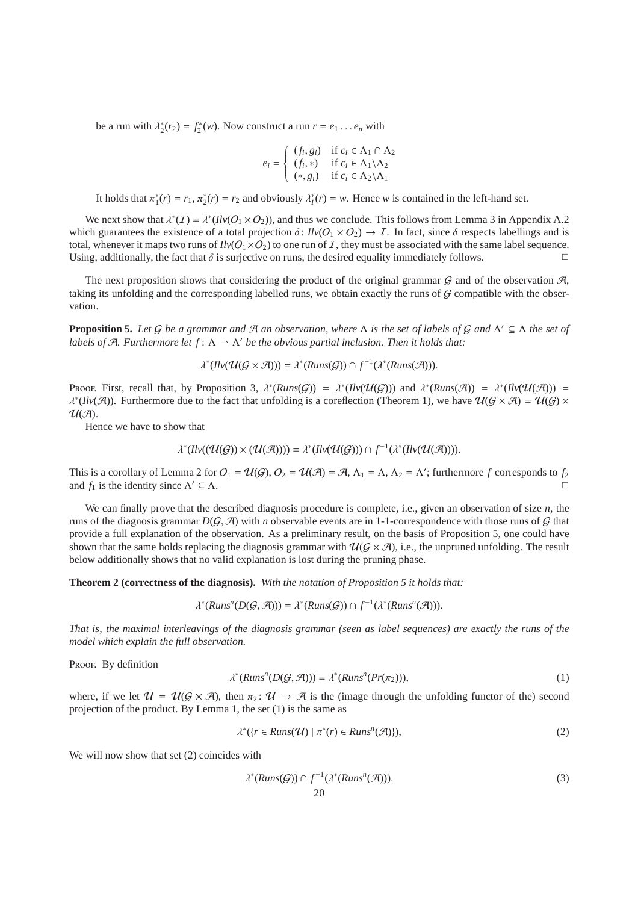be a run with  $\lambda_2^*(r_2) = f_2^*(w)$ . Now construct a run  $r = e_1 \dots e_n$  with

$$
e_i = \begin{cases} (f_i, g_i) & \text{if } c_i \in \Lambda_1 \cap \Lambda_2 \\ (f_i, *) & \text{if } c_i \in \Lambda_1 \backslash \Lambda_2 \\ (*, g_i) & \text{if } c_i \in \Lambda_2 \backslash \Lambda_1 \end{cases}
$$

It holds that  $\pi_1^*(r) = r_1$ ,  $\pi_2^*(r) = r_2$  and obviously  $\lambda_i^*(r) = w$ . Hence *w* is contained in the left-hand set.

We next show that  $\lambda^*(I) = \lambda^*(I \cup (O_1 \times O_2))$ , and thus we conclude. This follows from Lemma 3 in Appendix A.2 which guarantees the existence of a total projection  $\delta: I/\nu(O_1 \times O_2) \to I$ . In fact, since  $\delta$  respects labellings and is total, whenever it maps two runs of  $Ilv(O_1\times O_2)$  to one run of I, they must be associated with the same label sequence. Using, additionally, the fact that  $\delta$  is surjective on runs, the desired equality immediately follows.

The next proposition shows that considering the product of the original grammar  $G$  and of the observation  $H$ , taking its unfolding and the corresponding labelled runs, we obtain exactly the runs of  $G$  compatible with the observation.

**Proposition 5.** *Let* G *be a grammar and* A *an observation, where* Λ *is the set of labels of* G *and* Λ ′ ⊆ Λ *the set of labels of A. Furthermore let*  $f: \Lambda \to \Lambda'$  *be the obvious partial inclusion. Then it holds that:* 

 $\lambda^*(Ilv(\mathcal{U}(\mathcal{G}\times\mathcal{A})))=\lambda^*(Runs(\mathcal{G}))\cap f^{-1}(\lambda^*(Runs(\mathcal{A}))).$ 

Proof. First, recall that, by Proposition 3,  $\lambda^*(Runs(G)) = \lambda^*(Inv(\mathcal{U}(G)))$  and  $\lambda^*(Runs(\mathcal{A})) = \lambda^*(Inv(\mathcal{U}(\mathcal{A}))) = \lambda^*(Inv(\mathcal{U}(\mathcal{A})))$  $\lambda^*(Ilv(\mathcal{A}))$ . Furthermore due to the fact that unfolding is a coreflection (Theorem 1), we have  $\mathcal{U}(\mathcal{G}\times\mathcal{A})=\mathcal{U}(\mathcal{G})\times$  $U(\mathcal{A}).$ 

Hence we have to show that

$$
\lambda^*(\text{Inv}((\mathcal{U}(\mathcal{G})) \times (\mathcal{U}(\mathcal{A})))) = \lambda^*(\text{Inv}(\mathcal{U}(\mathcal{G}))) \cap f^{-1}(\lambda^*(\text{Inv}(\mathcal{U}(\mathcal{A}))))
$$

This is a corollary of Lemma 2 for  $O_1 = \mathcal{U}(G)$ ,  $O_2 = \mathcal{U}(\mathcal{A}) = \mathcal{A}$ ,  $\Lambda_1 = \Lambda$ ,  $\Lambda_2 = \Lambda'$ ; furthermore f corresponds to  $f_2$ and  $f_1$  is the identity since  $\Lambda' \subseteq \Lambda$ .  $' \subseteq \Lambda$ .

We can finally prove that the described diagnosis procedure is complete, i.e., given an observation of size *n*, the runs of the diagnosis grammar  $D(G, \mathcal{A})$  with *n* observable events are in 1-1-correspondence with those runs of G that provide a full explanation of the observation. As a preliminary result, on the basis of Proposition 5, one could have shown that the same holds replacing the diagnosis grammar with  $\mathcal{U}(G \times \mathcal{A})$ , i.e., the unpruned unfolding. The result below additionally shows that no valid explanation is lost during the pruning phase.

**Theorem 2 (correctness of the diagnosis).** *With the notation of Proposition 5 it holds that:*

$$
\lambda^*(Runs^n(D(\mathcal{G}, \mathcal{A}))) = \lambda^*(Runs(\mathcal{G})) \cap f^{-1}(\lambda^*(Runs^n(\mathcal{A}))).
$$

*That is, the maximal interleavings of the diagnosis grammar (seen as label sequences) are exactly the runs of the model which explain the full observation.*

Proof. By definition

$$
\lambda^*(Runs^n(D(\mathcal{G},\mathcal{A}))) = \lambda^*(Runs^n(Pr(\pi_2))),\tag{1}
$$

where, if we let  $\mathcal{U} = \mathcal{U}(\mathcal{G} \times \mathcal{A})$ , then  $\pi_2 \colon \mathcal{U} \to \mathcal{A}$  is the (image through the unfolding functor of the) second projection of the product. By Lemma 1, the set (1) is the same as

$$
\lambda^*(\{r \in Runs(\mathcal{U}) \mid \pi^*(r) \in Runs^n(\mathcal{A})\}),\tag{2}
$$

We will now show that set  $(2)$  coincides with

$$
\lambda^*(Runs(G)) \cap f^{-1}(\lambda^*(Runs^n(\mathcal{A}))). \tag{3}
$$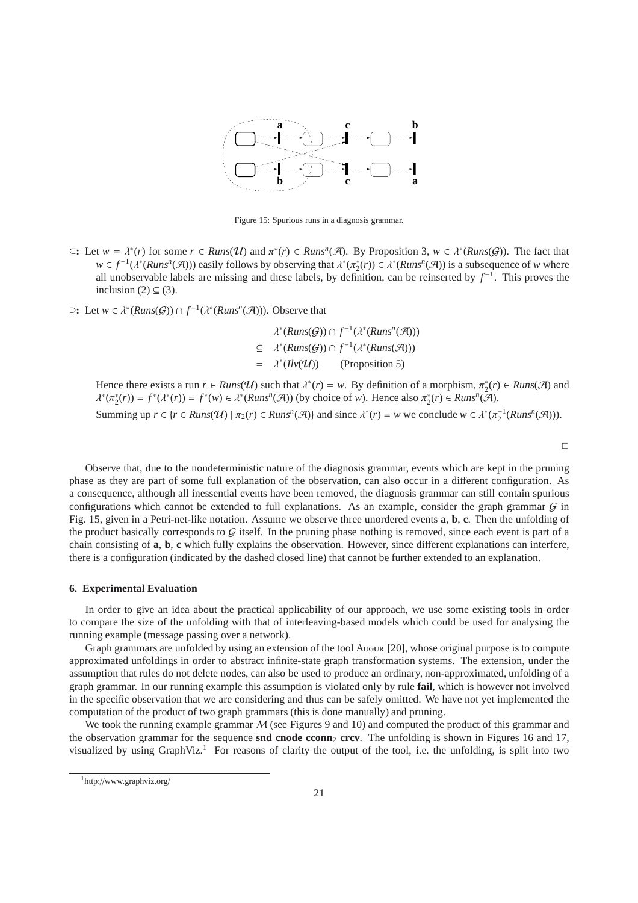

Figure 15: Spurious runs in a diagnosis grammar.

- $\subseteq$ : Let  $w = \lambda^*(r)$  for some  $r \in \text{Runs}(\mathcal{U})$  and  $\pi^*(r) \in \text{Runs}^n(\mathcal{A})$ . By Proposition 3,  $w \in \lambda^*(\text{Runs}(\mathcal{G}))$ . The fact that  $w \in f^{-1}(\lambda^*(Runs^n(\mathcal{A})))$  easily follows by observing that  $\lambda^*(\pi_2^*(r)) \in \lambda^*(Runs^n(\mathcal{A}))$  is a subsequence of *w* where all unobservable labels are missing and these labels, by definition, can be reinserted by  $f^{-1}$ . This proves the inclusion  $(2) \subseteq (3)$ .
- ⊇: Let  $w \in \lambda^*(Runs(G)) \cap f^{-1}(\lambda^*(Runs^n(\mathcal{A}))).$  Observe that

 $\lambda^*(Runs(\mathcal{G})) \cap f^{-1}(\lambda^*(Runs^n(\mathcal{A})))$  $\subseteq \lambda^*(Runs(G)) \cap f^{-1}(\lambda^*(Runs(\mathcal{A})))$  $=$   $\lambda^*$ (Proposition 5)

Hence there exists a run  $r \in \text{Runs}(\mathcal{U})$  such that  $\lambda^*(r) = w$ . By definition of a morphism,  $\pi_2^*(r) \in \text{Runs}(\mathcal{A})$  and  $\lambda^*(\pi_2^*(r)) = f^*(\lambda^*(r)) = f^*(w) \in \lambda^*(Runs^n(\mathcal{A}))$  (by choice of *w*). Hence also  $\pi_2^*(r) \in Runs^n(\mathcal{A})$ . Summing up  $r \in \{r \in \text{Runs}(\mathcal{U}) \mid \pi_2(r) \in \text{Runs}^n(\mathcal{A})\}$  and since  $\lambda^*(r) = w$  we conclude  $w \in \lambda^*(\pi_2^{-1}(\text{Runs}^n(\mathcal{A}))).$ 

 $\Box$ 

Observe that, due to the nondeterministic nature of the diagnosis grammar, events which are kept in the pruning phase as they are part of some full explanation of the observation, can also occur in a different configuration. As a consequence, although all inessential events have been removed, the diagnosis grammar can still contain spurious configurations which cannot be extended to full explanations. As an example, consider the graph grammar  $G$  in Fig. 15, given in a Petri-net-like notation. Assume we observe three unordered events **a**, **b**, **c**. Then the unfolding of the product basically corresponds to  $G$  itself. In the pruning phase nothing is removed, since each event is part of a chain consisting of **a**, **b**, **c** which fully explains the observation. However, since different explanations can interfere, there is a configuration (indicated by the dashed closed line) that cannot be further extended to an explanation.

#### **6. Experimental Evaluation**

In order to give an idea about the practical applicability of our approach, we use some existing tools in order to compare the size of the unfolding with that of interleaving-based models which could be used for analysing the running example (message passing over a network).

Graph grammars are unfolded by using an extension of the tool Augur [20], whose original purpose is to compute approximated unfoldings in order to abstract infinite-state graph transformation systems. The extension, under the assumption that rules do not delete nodes, can also be used to produce an ordinary, non-approximated, unfolding of a graph grammar. In our running example this assumption is violated only by rule **fail**, which is however not involved in the specific observation that we are considering and thus can be safely omitted. We have not yet implemented the computation of the product of two graph grammars (this is done manually) and pruning.

We took the running example grammar  $M$  (see Figures 9 and 10) and computed the product of this grammar and the observation grammar for the sequence **snd cnode cconn**<sub>2</sub> **crcv**. The unfolding is shown in Figures 16 and 17, visualized by using GraphViz.<sup>1</sup> For reasons of clarity the output of the tool, i.e. the unfolding, is split into two

<sup>1</sup>http://www.graphviz.org/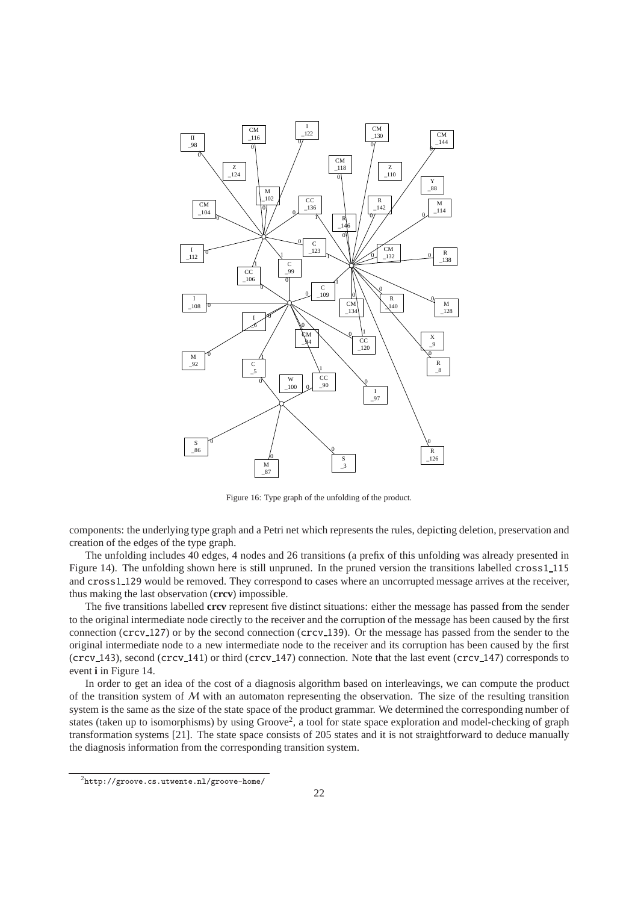

Figure 16: Type graph of the unfolding of the product.

components: the underlying type graph and a Petri net which represents the rules, depicting deletion, preservation and creation of the edges of the type graph.

The unfolding includes 40 edges, 4 nodes and 26 transitions (a prefix of this unfolding was already presented in Figure 14). The unfolding shown here is still unpruned. In the pruned version the transitions labelled cross1\_115 and cross1 129 would be removed. They correspond to cases where an uncorrupted message arrives at the receiver, thus making the last observation (**crcv**) impossible.

The five transitions labelled **crcv** represent five distinct situations: either the message has passed from the sender to the original intermediate node cirectly to the receiver and the corruption of the message has been caused by the first connection (crcv 127) or by the second connection (crcv 139). Or the message has passed from the sender to the original intermediate node to a new intermediate node to the receiver and its corruption has been caused by the first (crcv 143), second (crcv 141) or third (crcv 147) connection. Note that the last event (crcv 147) corresponds to event **i** in Figure 14.

In order to get an idea of the cost of a diagnosis algorithm based on interleavings, we can compute the product of the transition system of  $M$  with an automaton representing the observation. The size of the resulting transition system is the same as the size of the state space of the product grammar. We determined the corresponding number of states (taken up to isomorphisms) by using Groove<sup>2</sup>, a tool for state space exploration and model-checking of graph transformation systems [21]. The state space consists of 205 states and it is not straightforward to deduce manually the diagnosis information from the corresponding transition system.

<sup>2</sup>http://groove.cs.utwente.nl/groove-home/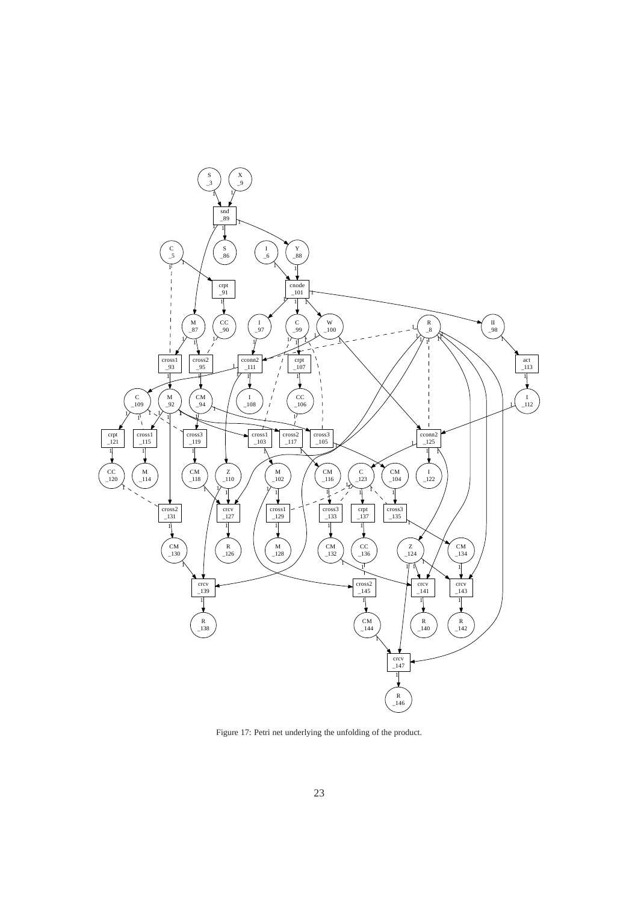

Figure 17: Petri net underlying the unfolding of the product.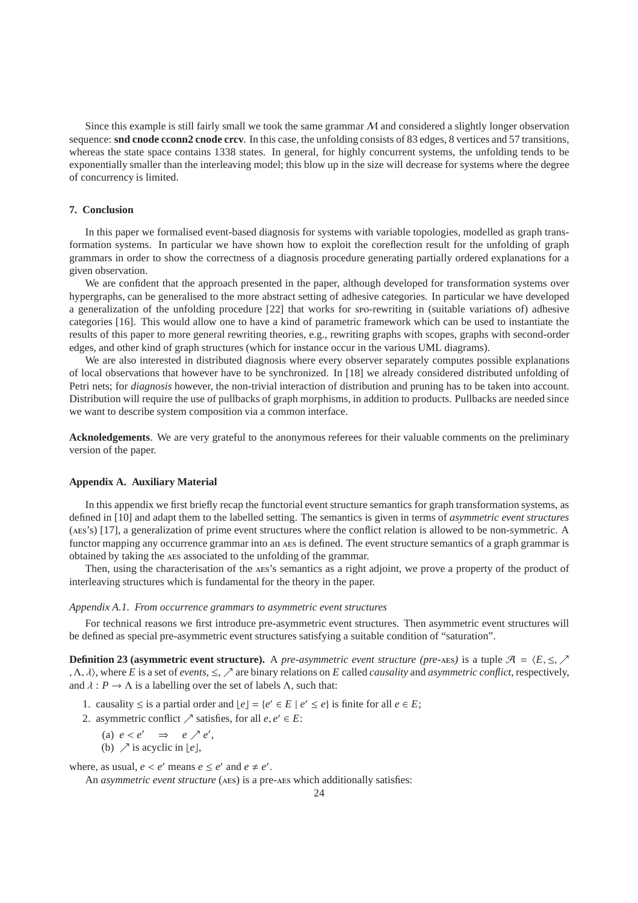Since this example is still fairly small we took the same grammar  $M$  and considered a slightly longer observation sequence: **snd cnode cconn2 cnode crcv**. In this case, the unfolding consists of 83 edges, 8 vertices and 57 transitions, whereas the state space contains 1338 states. In general, for highly concurrent systems, the unfolding tends to be exponentially smaller than the interleaving model; this blow up in the size will decrease for systems where the degree of concurrency is limited.

# **7. Conclusion**

In this paper we formalised event-based diagnosis for systems with variable topologies, modelled as graph transformation systems. In particular we have shown how to exploit the coreflection result for the unfolding of graph grammars in order to show the correctness of a diagnosis procedure generating partially ordered explanations for a given observation.

We are confident that the approach presented in the paper, although developed for transformation systems over hypergraphs, can be generalised to the more abstract setting of adhesive categories. In particular we have developed a generalization of the unfolding procedure [22] that works for spo-rewriting in (suitable variations of) adhesive categories [16]. This would allow one to have a kind of parametric framework which can be used to instantiate the results of this paper to more general rewriting theories, e.g., rewriting graphs with scopes, graphs with second-order edges, and other kind of graph structures (which for instance occur in the various UML diagrams).

We are also interested in distributed diagnosis where every observer separately computes possible explanations of local observations that however have to be synchronized. In [18] we already considered distributed unfolding of Petri nets; for *diagnosis* however, the non-trivial interaction of distribution and pruning has to be taken into account. Distribution will require the use of pullbacks of graph morphisms, in addition to products. Pullbacks are needed since we want to describe system composition via a common interface.

**Acknoledgements**. We are very grateful to the anonymous referees for their valuable comments on the preliminary version of the paper.

#### **Appendix A. Auxiliary Material**

In this appendix we first briefly recap the functorial event structure semantics for graph transformation systems, as defined in [10] and adapt them to the labelled setting. The semantics is given in terms of *asymmetric event structures* (aes's) [17], a generalization of prime event structures where the conflict relation is allowed to be non-symmetric. A functor mapping any occurrence grammar into an AES is defined. The event structure semantics of a graph grammar is obtained by taking the aes associated to the unfolding of the grammar.

Then, using the characterisation of the aes's semantics as a right adjoint, we prove a property of the product of interleaving structures which is fundamental for the theory in the paper.

#### *Appendix A.1. From occurrence grammars to asymmetric event structures*

For technical reasons we first introduce pre-asymmetric event structures. Then asymmetric event structures will be defined as special pre-asymmetric event structures satisfying a suitable condition of "saturation".

**Definition 23 (asymmetric event structure).** A *pre-asymmetric event structure (pre-*aes*)* is a tuple  $\mathcal{A} = \langle E, \leq, \nearrow$ , Λ, λi, where *E* is a set of *events*, ≤, ր are binary relations on *E* called *causality* and *asymmetric conflict*, respectively, and  $\lambda : P \to \Lambda$  is a labelling over the set of labels  $\Lambda$ , such that:

1. causality ≤ is a partial order and  $\lfloor e \rfloor = \{e' \in E \mid e' \le e\}$  is finite for all  $e \in E$ ;

- 2. asymmetric conflict  $\nearrow$  satisfies, for all  $e, e' \in E$ :
	- (a)  $e < e' \Rightarrow e \nearrow e'$ ,
	- (b)  $\nearrow$  is acyclic in  $\lfloor e \rfloor$ ,

where, as usual,  $e < e'$  means  $e \le e'$  and  $e \ne e'$ .

An *asymmetric event structure* (AES) is a pre-AES which additionally satisfies: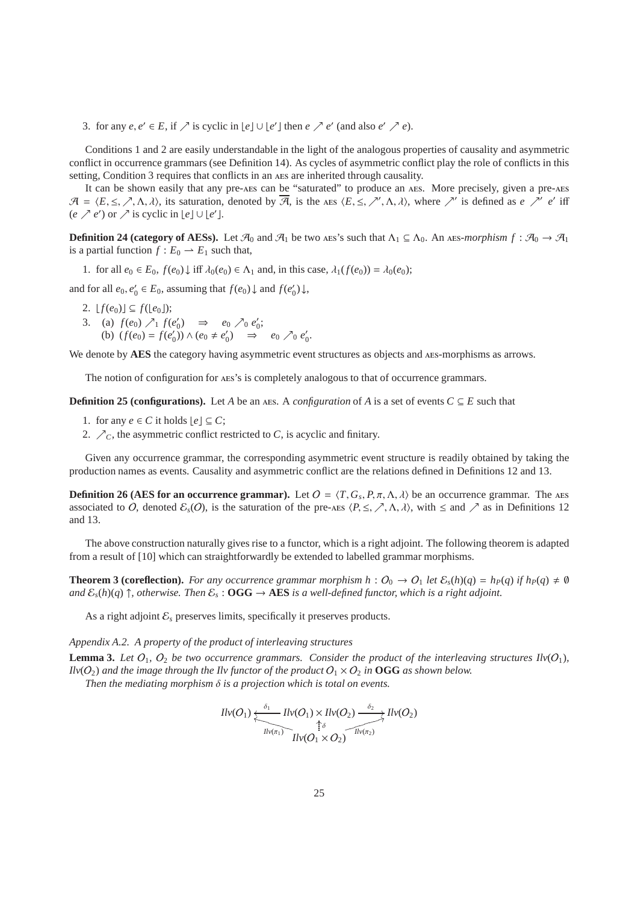3. for any  $e, e' \in E$ , if  $\nearrow$  is cyclic in  $\lfloor e \rfloor \cup \lfloor e' \rfloor$  then  $e \nearrow e'$  (and also  $e' \nearrow e$ ).

Conditions 1 and 2 are easily understandable in the light of the analogous properties of causality and asymmetric conflict in occurrence grammars (see Definition 14). As cycles of asymmetric conflict play the role of conflicts in this setting, Condition 3 requires that conflicts in an aes are inherited through causality.

It can be shown easily that any pre-aes can be "saturated" to produce an aes. More precisely, given a pre-aes  $\mathcal{A} = \langle E, \leq, \nearrow, \Lambda, \lambda \rangle$ , its saturation, denoted by  $\overline{\mathcal{A}}$ , is the AES  $\langle E, \leq, \nearrow', \Lambda, \lambda \rangle$ , where  $\nearrow'$  is defined as *e*  $\nearrow'$  *e'* iff  $(e \nearrow e')$  or  $\nearrow$  is cyclic in  $\lfloor e \rfloor \cup \lfloor e' \rfloor$ .

**Definition 24 (category of AESs).** Let  $\mathcal{A}_0$  and  $\mathcal{A}_1$  be two ass's such that  $\Lambda_1 \subseteq \Lambda_0$ . An ass-morphism  $f : \mathcal{A}_0 \to \mathcal{A}_1$ is a partial function  $f: E_0 \to E_1$  such that,

1. for all  $e_0 \in E_0$ ,  $f(e_0) \downarrow$  iff  $\lambda_0(e_0) \in \Lambda_1$  and, in this case,  $\lambda_1(f(e_0)) = \lambda_0(e_0)$ ;

and for all  $e_0, e'_0 \in E_0$ , assuming that  $f(e_0) \downarrow$  and  $f(e'_0) \downarrow$ ,

- 2.  $[f(e_0)] \subseteq f([e_0])$ ;
- 3. (a)  $f(e_0) \nearrow_1 f(e'_0) \Rightarrow e_0 \nearrow_0 e'_0;$ (b)  $(f(e_0) = f(e'_0)) \wedge (e_0 \neq e'_0) \implies e_0 \nearrow_0 e'_0.$

We denote by **AES** the category having asymmetric event structures as objects and AES-morphisms as arrows.

The notion of configuration for aes's is completely analogous to that of occurrence grammars.

**Definition 25 (configurations).** Let *A* be an AES. A *configuration* of *A* is a set of events  $C \subseteq E$  such that

- 1. for any  $e \in C$  it holds  $|e| \subseteq C$ ;
- 2.  $\nearrow$ <sub>C</sub>, the asymmetric conflict restricted to *C*, is acyclic and finitary.

Given any occurrence grammar, the corresponding asymmetric event structure is readily obtained by taking the production names as events. Causality and asymmetric conflict are the relations defined in Definitions 12 and 13.

**Definition 26 (AES for an occurrence grammar).** Let  $O = \langle T, G_s, P, \pi, \Lambda, \lambda \rangle$  be an occurrence grammar. The AES associated to O, denoted  $\mathcal{E}_s(0)$ , is the saturation of the pre-AES  $\langle P, \leq, \nearrow, \Lambda, \lambda \rangle$ , with  $\leq$  and  $\nearrow$  as in Definitions 12 and 13.

The above construction naturally gives rise to a functor, which is a right adjoint. The following theorem is adapted from a result of [10] which can straightforwardly be extended to labelled grammar morphisms.

**Theorem 3 (coreflection).** For any occurrence grammar morphism  $h: O_0 \to O_1$  let  $\mathcal{E}_s(h)(q) = h_P(q)$  if  $h_P(q) \neq \emptyset$ *and*  $\mathcal{E}_s(h)(q) \uparrow$ , otherwise. Then  $\mathcal{E}_s$ :  $\textbf{OGG} \to \textbf{AES}$  *is a well-defined functor, which is a right adjoint.* 

As a right adjoint  $\mathcal{E}_s$  preserves limits, specifically it preserves products.

*Appendix A.2. A property of the product of interleaving structures*

**Lemma 3.** Let  $O_1$ ,  $O_2$  be two occurrence grammars. Consider the product of the interleaving structures  $I[v(O_1)]$ ,  $I\text{lv}(O_2)$  *and the image through the Ilv functor of the product*  $O_1 \times O_2$  *in* **OGG** *as shown below.* 

*Then the mediating morphism* δ *is a projection which is total on events.*

$$
Ilv(O_1)\xleftarrow{\delta_1}Ilv(O_1)\times Ilv(O_2)\xrightarrow{\delta_2}Ilv(O_2)
$$
  

$$
Ilv(\sigma_1)\xrightarrow{\uparrow \delta}Ilv(\sigma_2)
$$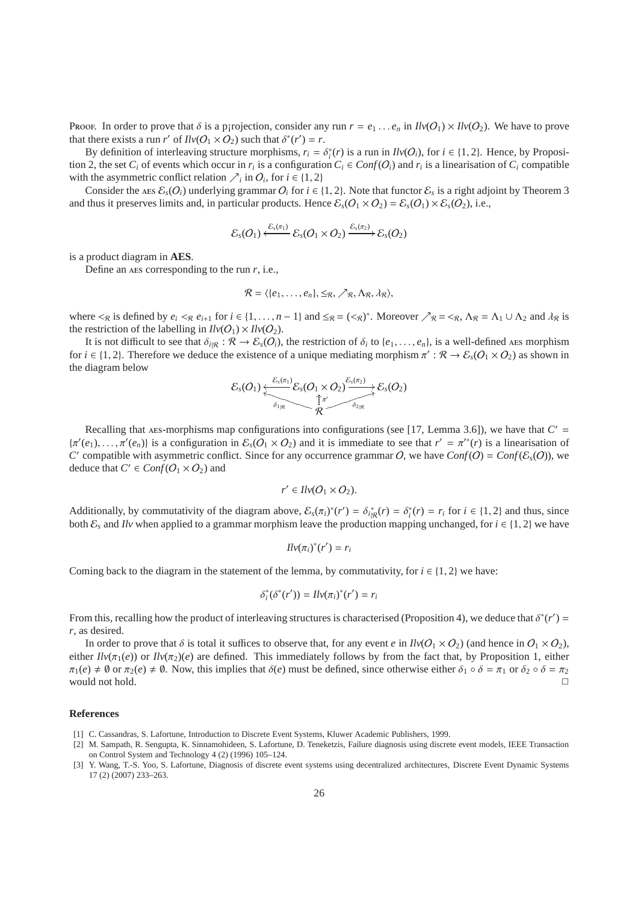Proof. In order to prove that  $\delta$  is a p¦rojection, consider any run  $r = e_1 \dots e_n$  in  $Ilv(O_1) \times Ilv(O_2)$ . We have to prove that there exists a run *r'* of  $Ilv(O_1 \times O_2)$  such that  $\delta^*(r') = r$ .

By definition of interleaving structure morphisms,  $r_i = \delta_i^*(r)$  is a run in  $Ilv(O_i)$ , for  $i \in \{1, 2\}$ . Hence, by Proposition 2, the set  $C_i$  of events which occur in  $r_i$  is a configuration  $C_i \in Conf(O_i)$  and  $r_i$  is a linearisation of  $C_i$  compatible with the asymmetric conflict relation  $\sum_i$  in  $O_i$ , for  $i \in \{1, 2\}$ 

Consider the AES  $\mathcal{E}_s(O_i)$  underlying grammar  $O_i$  for  $i \in \{1, 2\}$ . Note that functor  $\mathcal{E}_s$  is a right adjoint by Theorem 3 and thus it preserves limits and, in particular products. Hence  $\mathcal{E}_s$ ( $O_1 \times O_2$ ) =  $\mathcal{E}_s$ ( $O_1$ )  $\times$   $\mathcal{E}_s$ ( $O_2$ ), i.e.,

$$
\mathcal{E}_s(O_1) \xleftarrow{\mathcal{E}_s(\pi_1)} \mathcal{E}_s(O_1 \times O_2) \xrightarrow{\mathcal{E}_s(\pi_2)} \mathcal{E}_s(O_2)
$$

is a product diagram in **AES**.

Define an aes corresponding to the run *r*, i.e.,

$$
\mathcal{R} = \langle \{e_1, \ldots, e_n\}, \leq_{\mathcal{R}}, \nearrow_{\mathcal{R}}, \Lambda_{\mathcal{R}}, \lambda_{\mathcal{R}} \rangle,
$$

where  $\lt_{R}$  is defined by  $e_i \lt_{R} e_{i+1}$  for  $i \in \{1, ..., n-1\}$  and  $\leq_R = (\lt_{R})^*$ . Moreover  $\nearrow_R = \lt_{R}$ ,  $\Lambda_R = \Lambda_1 \cup \Lambda_2$  and  $\lambda_R$  is the restriction of the labelling in  $Ilv(O_1) \times Ilv(O_2)$ .

It is not difficult to see that  $\delta_{i|R}$ :  $\mathcal{R} \to \mathcal{E}_s(O_i)$ , the restriction of  $\delta_i$  to { $e_1, \ldots, e_n$ }, is a well-defined AES morphism for  $i \in \{1, 2\}$ . Therefore we deduce the existence of a unique mediating morphism  $\pi': \mathcal{R} \to \mathcal{E}_s(O_1 \times O_2)$  as shown in the diagram below

$$
\mathcal{E}_s(O_1) \xleftarrow{\mathcal{E}_s(\pi_1)} \mathcal{E}_s(O_1 \times O_2) \xrightarrow{\mathcal{E}_s(\pi_2)} \mathcal{E}_s(O_2) \xrightarrow{\delta_s(\pi_2)} \mathcal{E}_s(O_2)
$$

Recalling that AES-morphisms map configurations into configurations (see [17, Lemma 3.6]), we have that  $C' =$  $\{\pi'(e_1), \ldots, \pi'(e_n)\}\$ is a configuration in  $\mathcal{E}_s(O_1 \times O_2)$  and it is immediate to see that  $r' = \pi'^*(r)$  is a linearisation of *C*' compatible with asymmetric conflict. Since for any occurrence grammar O, we have  $Conf(O) = Conf(\mathcal{E}_s(O))$ , we deduce that  $C' \in Conf(O_1 \times O_2)$  and

$$
r' \in \text{Ilv}(O_1 \times O_2).
$$

Additionally, by commutativity of the diagram above,  $\mathcal{E}_s(\pi_i)^*(r') = \delta_{i\mid \mathcal{R}}^*(r) = \delta_i^*(r) = r_i$  for  $i \in \{1, 2\}$  and thus, since both  $\mathcal{E}_s$  and *Ilv* when applied to a grammar morphism leave the production mapping unchanged, for  $i \in \{1, 2\}$  we have

$$
Ilv(\pi_i)^*(r')=r_i
$$

Coming back to the diagram in the statement of the lemma, by commutativity, for  $i \in \{1, 2\}$  we have:

$$
\delta_i^*(\delta^*(r')) = \text{IIv}(\pi_i)^*(r') = r_i
$$

From this, recalling how the product of interleaving structures is characterised (Proposition 4), we deduce that  $\delta^*(r')$  = *r*, as desired.

In order to prove that  $\delta$  is total it suffices to observe that, for any event *e* in  $Ilv(O_1 \times O_2)$  (and hence in  $O_1 \times O_2$ ), either  $I/\nu(\pi_1(e))$  or  $I/\nu(\pi_2)(e)$  are defined. This immediately follows by from the fact that, by Proposition 1, either  $\pi_1(e) \neq \emptyset$  or  $\pi_2(e) \neq \emptyset$ . Now, this implies that  $\delta(e)$  must be defined, since otherwise either  $\delta_1 \circ \delta = \pi_1$  or  $\delta_2 \circ \delta = \pi_2$ would not hold.  $\Box$ 

#### **References**

- [1] C. Cassandras, S. Lafortune, Introduction to Discrete Event Systems, Kluwer Academic Publishers, 1999.
- [2] M. Sampath, R. Sengupta, K. Sinnamohideen, S. Lafortune, D. Teneketzis, Failure diagnosis using discrete event models, IEEE Transaction on Control System and Technology 4 (2) (1996) 105–124.
- [3] Y. Wang, T.-S. Yoo, S. Lafortune, Diagnosis of discrete event systems using decentralized architectures, Discrete Event Dynamic Systems 17 (2) (2007) 233–263.